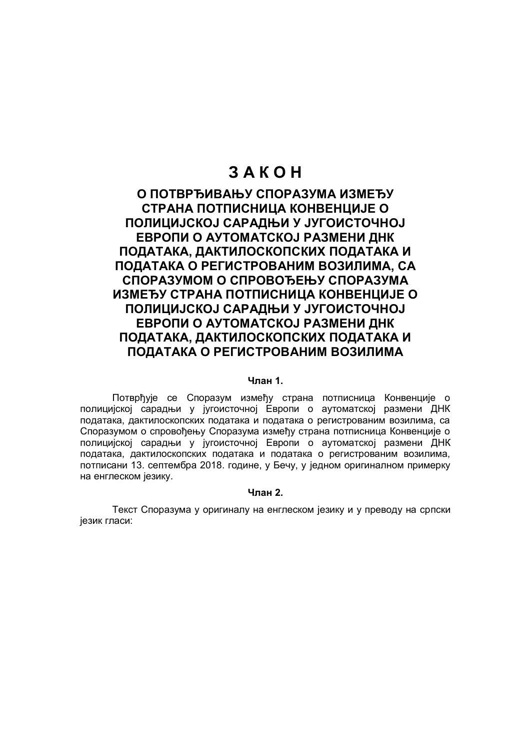# **З А К О Н**

# **О ПОТВРЂИВАЊУ СПОРАЗУМА ИЗМЕЂУ СТРАНА ПОТПИСНИЦА КОНВЕНЦИЈЕ О ПОЛИЦИЈСКОЈ САРАДЊИ У ЈУГОИСТОЧНОЈ ЕВРОПИ О АУТОМАТСКОЈ РАЗМЕНИ ДНК ПОДАТАКА, ДАКТИЛОСКОПСКИХ ПОДАТАКА И ПОДАТАКА О РЕГИСТРОВАНИМ ВОЗИЛИМА, СА СПОРАЗУМОМ О СПРОВОЂЕЊУ СПОРАЗУМА ИЗМЕЂУ СТРАНА ПОТПИСНИЦА КОНВЕНЦИЈЕ О ПОЛИЦИЈСКОЈ САРАДЊИ У ЈУГОИСТОЧНОЈ ЕВРОПИ О АУТОМАТСКОЈ РАЗМЕНИ ДНК ПОДАТАКА, ДАКТИЛОСКОПСКИХ ПОДАТАКА И ПОДАТАКА О РЕГИСТРОВАНИМ ВОЗИЛИМА**

#### **Члан 1.**

Потврђује се Споразум између страна потписница Конвенције о полицијској сарадњи у југоисточној Европи о аутоматској размени ДНК података, дактилоскопских података и података о регистрованим возилима, са Споразумом о спровођењу Споразума између страна потписница Конвенције о полицијској сарадњи у југоисточној Европи о аутоматској размени ДНК података, дактилоскопских података и података о регистрованим возилима, потписани 13. септембра 2018. године, у Бечу, у једном оригиналном примерку на енглеском језику.

# **Члан 2.**

Текст Споразума у оригиналу на енглеском језику и у преводу на српски језик гласи: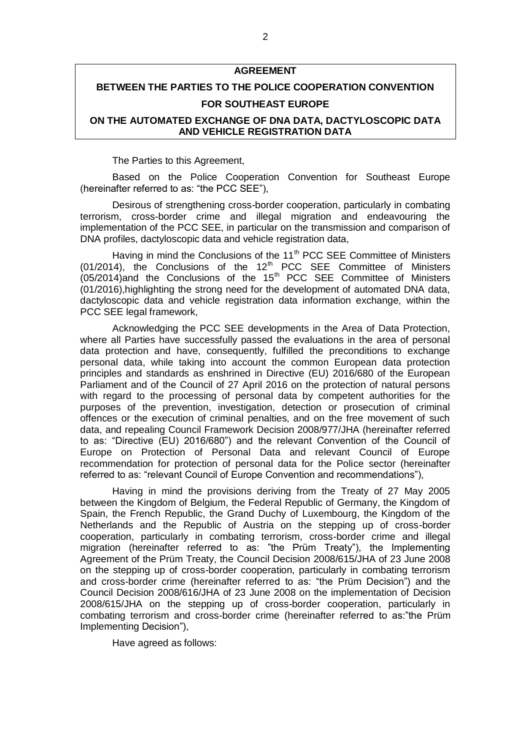# **AGREEMENT**

# **BETWEEN THE PARTIES TO THE POLICE COOPERATION CONVENTION FOR SOUTHEAST EUROPE**

# **ON THE AUTOMATED EXCHANGE OF DNA DATA, DACTYLOSCOPIC DATA AND VEHICLE REGISTRATION DATA**

The Parties to this Agreement,

Based on the Police Cooperation Convention for Southeast Europe (hereinafter referred to as: "the PCC SEE"),

Desirous of strengthening cross-border cooperation, particularly in combating terrorism, cross-border crime and illegal migration and endeavouring the implementation of the PCC SEE, in particular on the transmission and comparison of DNA profiles, dactyloscopic data and vehicle registration data,

Having in mind the Conclusions of the 11<sup>th</sup> PCC SEE Committee of Ministers  $(01/2014)$ , the Conclusions of the 12<sup>th</sup> PCC SEE Committee of Ministers (05/2014)and the Conclusions of the 15<sup>th</sup> PCC SEE Committee of Ministers (01/2016),highlighting the strong need for the development of automated DNA data, dactyloscopic data and vehicle registration data information exchange, within the PCC SEE legal framework,

Acknowledging the PCC SEE developments in the Area of Data Protection, where all Parties have successfully passed the evaluations in the area of personal data protection and have, consequently, fulfilled the preconditions to exchange personal data, while taking into account the common European data protection principles and standards as enshrined in Directive (EU) 2016/680 of the European Parliament and of the Council of 27 April 2016 on the protection of natural persons with regard to the processing of personal data by competent authorities for the purposes of the prevention, investigation, detection or prosecution of criminal offences or the execution of criminal penalties, and on the free movement of such data, and repealing Council Framework Decision 2008/977/JHA (hereinafter referred to as: "Directive (EU) 2016/680") and the relevant Convention of the Council of Europe on Protection of Personal Data and relevant Council of Europe recommendation for protection of personal data for the Police sector (hereinafter referred to as: "relevant Council of Europe Convention and recommendations"),

Having in mind the provisions deriving from the Treaty of 27 May 2005 between the Kingdom of Belgium, the Federal Republic of Germany, the Kingdom of Spain, the French Republic, the Grand Duchy of Luxembourg, the Kingdom of the Netherlands and the Republic of Austria on the stepping up of cross-border cooperation, particularly in combating terrorism, cross-border crime and illegal migration (hereinafter referred to as: "the Prüm Treaty"), the Implementing Agreement of the Prüm Treaty, the Council Decision 2008/615/JHA of 23 June 2008 on the stepping up of cross-border cooperation, particularly in combating terrorism and cross-border crime (hereinafter referred to as: "the Prüm Decision") and the Council Decision 2008/616/JHA of 23 June 2008 on the implementation of Decision 2008/615/JHA on the stepping up of cross-border cooperation, particularly in combating terrorism and cross-border crime (hereinafter referred to as:"the Prüm Implementing Decision"),

Have agreed as follows: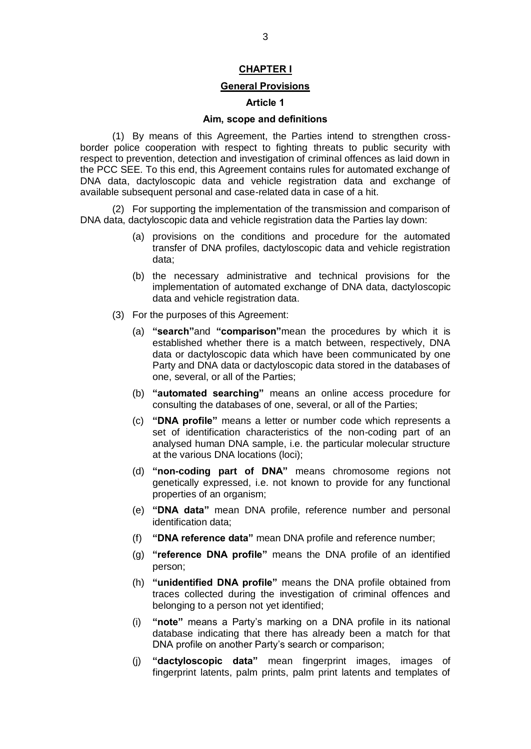# **CHAPTER I**

## **General Provisions**

# **Article 1**

# **Aim, scope and definitions**

(1) By means of this Agreement, the Parties intend to strengthen crossborder police cooperation with respect to fighting threats to public security with respect to prevention, detection and investigation of criminal offences as laid down in the PCC SEE. To this end, this Agreement contains rules for automated exchange of DNA data, dactyloscopic data and vehicle registration data and exchange of available subsequent personal and case-related data in case of a hit.

(2) For supporting the implementation of the transmission and comparison of DNA data, dactyloscopic data and vehicle registration data the Parties lay down:

- (a) provisions on the conditions and procedure for the automated transfer of DNA profiles, dactyloscopic data and vehicle registration data;
- (b) the necessary administrative and technical provisions for the implementation of automated exchange of DNA data, dactyloscopic data and vehicle registration data.
- (3) For the purposes of this Agreement:
	- (a) **"search"**and **"comparison"**mean the procedures by which it is established whether there is a match between, respectively, DNA data or dactyloscopic data which have been communicated by one Party and DNA data or dactyloscopic data stored in the databases of one, several, or all of the Parties;
	- (b) **"automated searching"** means an online access procedure for consulting the databases of one, several, or all of the Parties;
	- (c) **"DNA profile"** means a letter or number code which represents a set of identification characteristics of the non-coding part of an analysed human DNA sample, i.e. the particular molecular structure at the various DNA locations (loci);
	- (d) **"non-coding part of DNA"** means chromosome regions not genetically expressed, i.e. not known to provide for any functional properties of an organism;
	- (e) **"DNA data"** mean DNA profile, reference number and personal identification data;
	- (f) **"DNA reference data"** mean DNA profile and reference number;
	- (g) **"reference DNA profile"** means the DNA profile of an identified person;
	- (h) **"unidentified DNA profile"** means the DNA profile obtained from traces collected during the investigation of criminal offences and belonging to a person not yet identified;
	- (i) **"note"** means a Party's marking on a DNA profile in its national database indicating that there has already been a match for that DNA profile on another Party's search or comparison;
	- (j) **"dactyloscopic data"** mean fingerprint images, images of fingerprint latents, palm prints, palm print latents and templates of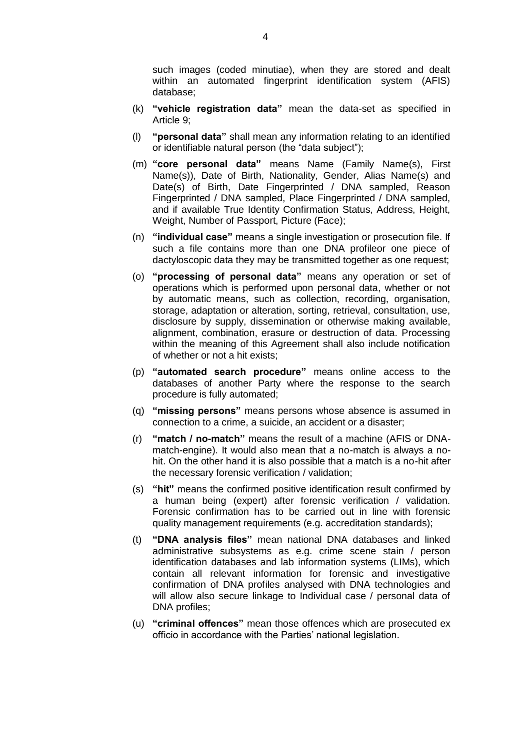such images (coded minutiae), when they are stored and dealt within an automated fingerprint identification system (AFIS) database;

- (k) **"vehicle registration data"** mean the data-set as specified in Article 9;
- (l) **"personal data"** shall mean any information relating to an identified or identifiable natural person (the "data subject");
- (m) **"core personal data"** means Name (Family Name(s), First Name(s)), Date of Birth, Nationality, Gender, Alias Name(s) and Date(s) of Birth, Date Fingerprinted / DNA sampled, Reason Fingerprinted / DNA sampled, Place Fingerprinted / DNA sampled, and if available True Identity Confirmation Status, Address, Height, Weight, Number of Passport, Picture (Face);
- (n) **"individual case"** means a single investigation or prosecution file. If such a file contains more than one DNA profileor one piece of dactyloscopic data they may be transmitted together as one request;
- (o) **"processing of personal data"** means any operation or set of operations which is performed upon personal data, whether or not by automatic means, such as collection, recording, organisation, storage, adaptation or alteration, sorting, retrieval, consultation, use, disclosure by supply, dissemination or otherwise making available, alignment, combination, erasure or destruction of data. Processing within the meaning of this Agreement shall also include notification of whether or not a hit exists;
- (p) **"automated search procedure"** means online access to the databases of another Party where the response to the search procedure is fully automated;
- (q) **"missing persons"** means persons whose absence is assumed in connection to a crime, a suicide, an accident or a disaster;
- (r) **"match / no-match"** means the result of a machine (AFIS or DNAmatch-engine). It would also mean that a no-match is always a nohit. On the other hand it is also possible that a match is a no-hit after the necessary forensic verification / validation;
- (s) **"hit"** means the confirmed positive identification result confirmed by a human being (expert) after forensic verification / validation. Forensic confirmation has to be carried out in line with forensic quality management requirements (e.g. accreditation standards);
- (t) **"DNA analysis files"** mean national DNA databases and linked administrative subsystems as e.g. crime scene stain / person identification databases and lab information systems (LIMs), which contain all relevant information for forensic and investigative confirmation of DNA profiles analysed with DNA technologies and will allow also secure linkage to Individual case / personal data of DNA profiles;
- (u) **"criminal offences"** mean those offences which are prosecuted ex officio in accordance with the Parties' national legislation.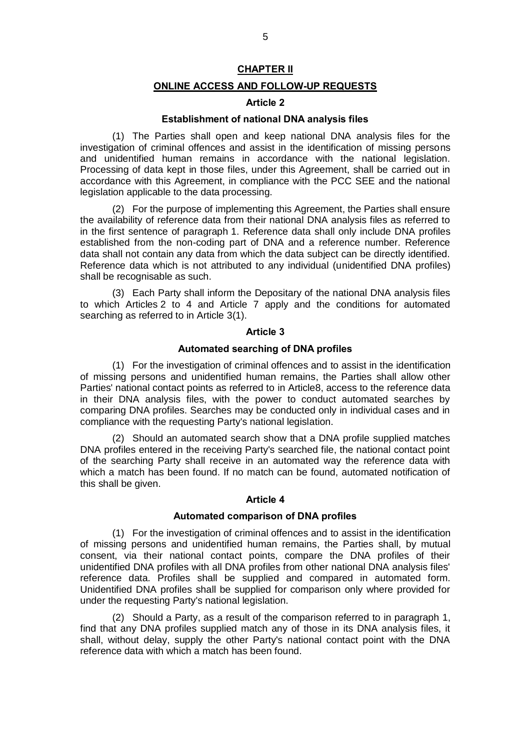# **CHAPTER II**

# **ONLINE ACCESS AND FOLLOW-UP REQUESTS**

# **Article 2**

# **Establishment of national DNA analysis files**

(1) The Parties shall open and keep national DNA analysis files for the investigation of criminal offences and assist in the identification of missing persons and unidentified human remains in accordance with the national legislation. Processing of data kept in those files, under this Agreement, shall be carried out in accordance with this Agreement, in compliance with the PCC SEE and the national legislation applicable to the data processing.

(2) For the purpose of implementing this Agreement, the Parties shall ensure the availability of reference data from their national DNA analysis files as referred to in the first sentence of paragraph 1. Reference data shall only include DNA profiles established from the non-coding part of DNA and a reference number. Reference data shall not contain any data from which the data subject can be directly identified. Reference data which is not attributed to any individual (unidentified DNA profiles) shall be recognisable as such.

(3) Each Party shall inform the Depositary of the national DNA analysis files to which Articles 2 to 4 and Article 7 apply and the conditions for automated searching as referred to in Article 3(1).

#### **Article 3**

#### **Automated searching of DNA profiles**

(1) For the investigation of criminal offences and to assist in the identification of missing persons and unidentified human remains, the Parties shall allow other Parties' national contact points as referred to in Article8, access to the reference data in their DNA analysis files, with the power to conduct automated searches by comparing DNA profiles. Searches may be conducted only in individual cases and in compliance with the requesting Party's national legislation.

(2) Should an automated search show that a DNA profile supplied matches DNA profiles entered in the receiving Party's searched file, the national contact point of the searching Party shall receive in an automated way the reference data with which a match has been found. If no match can be found, automated notification of this shall be given.

# **Article 4**

## **Automated comparison of DNA profiles**

(1) For the investigation of criminal offences and to assist in the identification of missing persons and unidentified human remains, the Parties shall, by mutual consent, via their national contact points, compare the DNA profiles of their unidentified DNA profiles with all DNA profiles from other national DNA analysis files' reference data. Profiles shall be supplied and compared in automated form. Unidentified DNA profiles shall be supplied for comparison only where provided for under the requesting Party's national legislation.

(2) Should a Party, as a result of the comparison referred to in paragraph 1, find that any DNA profiles supplied match any of those in its DNA analysis files, it shall, without delay, supply the other Party's national contact point with the DNA reference data with which a match has been found.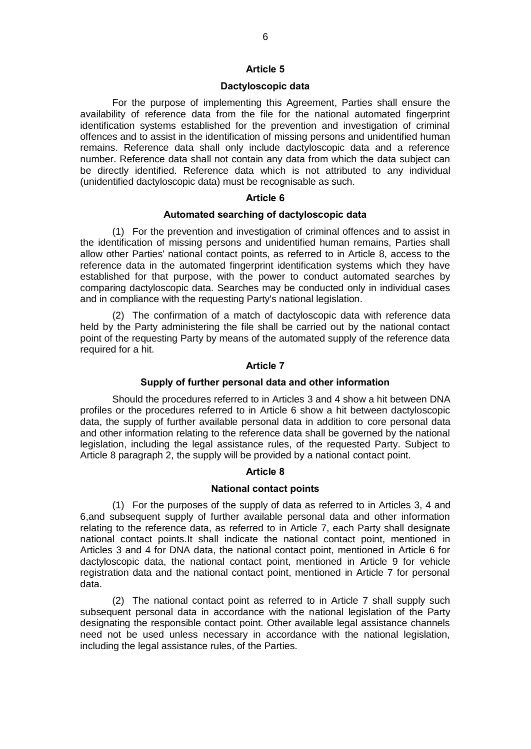#### **Dactyloscopic data**

For the purpose of implementing this Agreement, Parties shall ensure the availability of reference data from the file for the national automated fingerprint identification systems established for the prevention and investigation of criminal offences and to assist in the identification of missing persons and unidentified human remains. Reference data shall only include dactyloscopic data and a reference number. Reference data shall not contain any data from which the data subject can be directly identified. Reference data which is not attributed to any individual (unidentified dactyloscopic data) must be recognisable as such.

# **Article 6**

## **Automated searching of dactyloscopic data**

(1) For the prevention and investigation of criminal offences and to assist in the identification of missing persons and unidentified human remains, Parties shall allow other Parties' national contact points, as referred to in Article 8, access to the reference data in the automated fingerprint identification systems which they have established for that purpose, with the power to conduct automated searches by comparing dactyloscopic data. Searches may be conducted only in individual cases and in compliance with the requesting Party's national legislation.

(2) The confirmation of a match of dactyloscopic data with reference data held by the Party administering the file shall be carried out by the national contact point of the requesting Party by means of the automated supply of the reference data required for a hit.

# **Article 7**

#### **Supply of further personal data and other information**

Should the procedures referred to in Articles 3 and 4 show a hit between DNA profiles or the procedures referred to in Article 6 show a hit between dactyloscopic data, the supply of further available personal data in addition to core personal data and other information relating to the reference data shall be governed by the national legislation, including the legal assistance rules, of the requested Party. Subject to Article 8 paragraph 2, the supply will be provided by a national contact point.

# **Article 8**

# **National contact points**

(1) For the purposes of the supply of data as referred to in Articles 3, 4 and 6,and subsequent supply of further available personal data and other information relating to the reference data, as referred to in Article 7, each Party shall designate national contact points.It shall indicate the national contact point, mentioned in Articles 3 and 4 for DNA data, the national contact point, mentioned in Article 6 for dactyloscopic data, the national contact point, mentioned in Article 9 for vehicle registration data and the national contact point, mentioned in Article 7 for personal data.

(2) The national contact point as referred to in Article 7 shall supply such subsequent personal data in accordance with the national legislation of the Party designating the responsible contact point. Other available legal assistance channels need not be used unless necessary in accordance with the national legislation, including the legal assistance rules, of the Parties.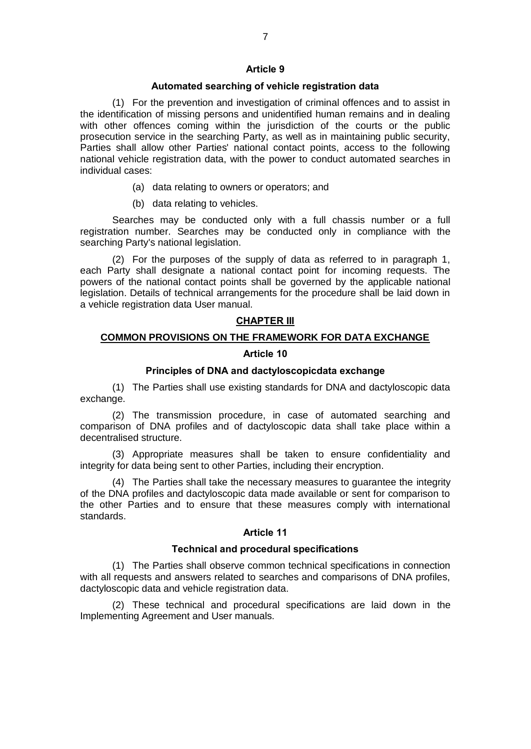#### **Article 9**

# **Automated searching of vehicle registration data**

(1) For the prevention and investigation of criminal offences and to assist in the identification of missing persons and unidentified human remains and in dealing with other offences coming within the jurisdiction of the courts or the public prosecution service in the searching Party, as well as in maintaining public security, Parties shall allow other Parties' national contact points, access to the following national vehicle registration data, with the power to conduct automated searches in individual cases:

- (a) data relating to owners or operators; and
- (b) data relating to vehicles.

Searches may be conducted only with a full chassis number or a full registration number. Searches may be conducted only in compliance with the searching Party's national legislation.

(2) For the purposes of the supply of data as referred to in paragraph 1, each Party shall designate a national contact point for incoming requests. The powers of the national contact points shall be governed by the applicable national legislation. Details of technical arrangements for the procedure shall be laid down in a vehicle registration data User manual.

# **CHAPTER III**

# **COMMON PROVISIONS ON THE FRAMEWORK FOR DATA EXCHANGE**

## **Article 10**

# **Principles of DNA and dactyloscopicdata exchange**

(1) The Parties shall use existing standards for DNA and dactyloscopic data exchange.

(2) The transmission procedure, in case of automated searching and comparison of DNA profiles and of dactyloscopic data shall take place within a decentralised structure.

(3) Appropriate measures shall be taken to ensure confidentiality and integrity for data being sent to other Parties, including their encryption.

(4) The Parties shall take the necessary measures to guarantee the integrity of the DNA profiles and dactyloscopic data made available or sent for comparison to the other Parties and to ensure that these measures comply with international standards.

# **Article 11**

# **Technical and procedural specifications**

(1) The Parties shall observe common technical specifications in connection with all requests and answers related to searches and comparisons of DNA profiles, dactyloscopic data and vehicle registration data.

(2) These technical and procedural specifications are laid down in the Implementing Agreement and User manuals.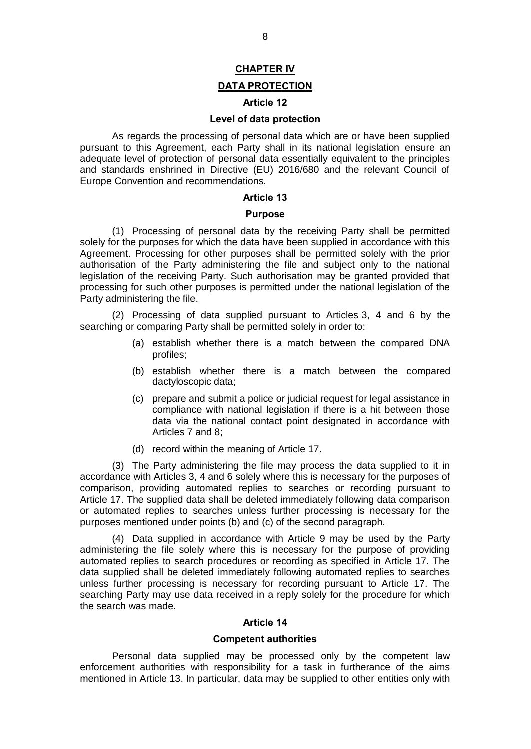# **CHAPTER IV**

# **DATA PROTECTION**

# **Article 12**

# **Level of data protection**

As regards the processing of personal data which are or have been supplied pursuant to this Agreement, each Party shall in its national legislation ensure an adequate level of protection of personal data essentially equivalent to the principles and standards enshrined in Directive (EU) 2016/680 and the relevant Council of Europe Convention and recommendations.

## **Article 13**

## **Purpose**

(1) Processing of personal data by the receiving Party shall be permitted solely for the purposes for which the data have been supplied in accordance with this Agreement. Processing for other purposes shall be permitted solely with the prior authorisation of the Party administering the file and subject only to the national legislation of the receiving Party. Such authorisation may be granted provided that processing for such other purposes is permitted under the national legislation of the Party administering the file.

(2) Processing of data supplied pursuant to Articles 3, 4 and 6 by the searching or comparing Party shall be permitted solely in order to:

- (a) establish whether there is a match between the compared DNA profiles;
- (b) establish whether there is a match between the compared dactyloscopic data;
- (c) prepare and submit a police or judicial request for legal assistance in compliance with national legislation if there is a hit between those data via the national contact point designated in accordance with Articles 7 and 8;
- (d) record within the meaning of Article 17.

(3) The Party administering the file may process the data supplied to it in accordance with Articles 3, 4 and 6 solely where this is necessary for the purposes of comparison, providing automated replies to searches or recording pursuant to Article 17. The supplied data shall be deleted immediately following data comparison or automated replies to searches unless further processing is necessary for the purposes mentioned under points (b) and (c) of the second paragraph.

(4) Data supplied in accordance with Article 9 may be used by the Party administering the file solely where this is necessary for the purpose of providing automated replies to search procedures or recording as specified in Article 17. The data supplied shall be deleted immediately following automated replies to searches unless further processing is necessary for recording pursuant to Article 17. The searching Party may use data received in a reply solely for the procedure for which the search was made.

#### **Article 14**

#### **Competent authorities**

Personal data supplied may be processed only by the competent law enforcement authorities with responsibility for a task in furtherance of the aims mentioned in Article 13. In particular, data may be supplied to other entities only with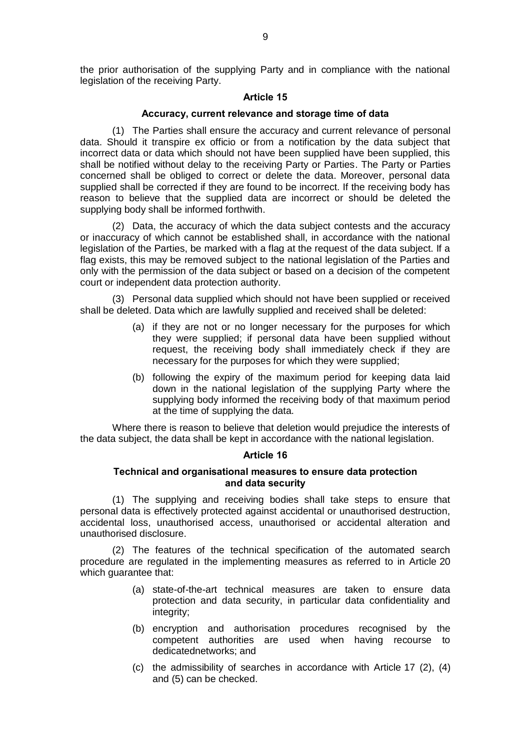the prior authorisation of the supplying Party and in compliance with the national legislation of the receiving Party.

# **Article 15**

#### **Accuracy, current relevance and storage time of data**

(1) The Parties shall ensure the accuracy and current relevance of personal data. Should it transpire ex officio or from a notification by the data subject that incorrect data or data which should not have been supplied have been supplied, this shall be notified without delay to the receiving Party or Parties. The Party or Parties concerned shall be obliged to correct or delete the data. Moreover, personal data supplied shall be corrected if they are found to be incorrect. If the receiving body has reason to believe that the supplied data are incorrect or should be deleted the supplying body shall be informed forthwith.

(2) Data, the accuracy of which the data subject contests and the accuracy or inaccuracy of which cannot be established shall, in accordance with the national legislation of the Parties, be marked with a flag at the request of the data subject. If a flag exists, this may be removed subject to the national legislation of the Parties and only with the permission of the data subject or based on a decision of the competent court or independent data protection authority.

(3) Personal data supplied which should not have been supplied or received shall be deleted. Data which are lawfully supplied and received shall be deleted:

- (a) if they are not or no longer necessary for the purposes for which they were supplied; if personal data have been supplied without request, the receiving body shall immediately check if they are necessary for the purposes for which they were supplied;
- (b) following the expiry of the maximum period for keeping data laid down in the national legislation of the supplying Party where the supplying body informed the receiving body of that maximum period at the time of supplying the data.

Where there is reason to believe that deletion would prejudice the interests of the data subject, the data shall be kept in accordance with the national legislation.

#### **Article 16**

## **Technical and organisational measures to ensure data protection and data security**

(1) The supplying and receiving bodies shall take steps to ensure that personal data is effectively protected against accidental or unauthorised destruction, accidental loss, unauthorised access, unauthorised or accidental alteration and unauthorised disclosure.

(2) The features of the technical specification of the automated search procedure are regulated in the implementing measures as referred to in Article 20 which guarantee that:

- (a) state-of-the-art technical measures are taken to ensure data protection and data security, in particular data confidentiality and integrity;
- (b) encryption and authorisation procedures recognised by the competent authorities are used when having recourse to dedicatednetworks; and
- (c) the admissibility of searches in accordance with Article 17 (2), (4) and (5) can be checked.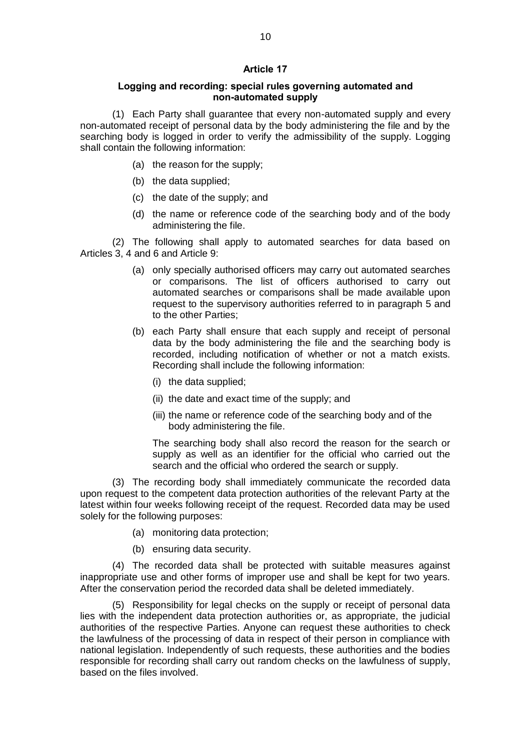# **Article 17**

# **Logging and recording: special rules governing automated and non-automated supply**

(1) Each Party shall guarantee that every non-automated supply and every non-automated receipt of personal data by the body administering the file and by the searching body is logged in order to verify the admissibility of the supply. Logging shall contain the following information:

- (a) the reason for the supply;
- (b) the data supplied;
- (c) the date of the supply; and
- (d) the name or reference code of the searching body and of the body administering the file.

(2) The following shall apply to automated searches for data based on Articles 3, 4 and 6 and Article 9:

- (a) only specially authorised officers may carry out automated searches or comparisons. The list of officers authorised to carry out automated searches or comparisons shall be made available upon request to the supervisory authorities referred to in paragraph 5 and to the other Parties;
- (b) each Party shall ensure that each supply and receipt of personal data by the body administering the file and the searching body is recorded, including notification of whether or not a match exists. Recording shall include the following information:
	- (i) the data supplied;
	- (ii) the date and exact time of the supply; and
	- (iii) the name or reference code of the searching body and of the body administering the file.

The searching body shall also record the reason for the search or supply as well as an identifier for the official who carried out the search and the official who ordered the search or supply.

(3) The recording body shall immediately communicate the recorded data upon request to the competent data protection authorities of the relevant Party at the latest within four weeks following receipt of the request. Recorded data may be used solely for the following purposes:

- (a) monitoring data protection;
- (b) ensuring data security.

(4) The recorded data shall be protected with suitable measures against inappropriate use and other forms of improper use and shall be kept for two years. After the conservation period the recorded data shall be deleted immediately.

(5) Responsibility for legal checks on the supply or receipt of personal data lies with the independent data protection authorities or, as appropriate, the judicial authorities of the respective Parties. Anyone can request these authorities to check the lawfulness of the processing of data in respect of their person in compliance with national legislation. Independently of such requests, these authorities and the bodies responsible for recording shall carry out random checks on the lawfulness of supply, based on the files involved.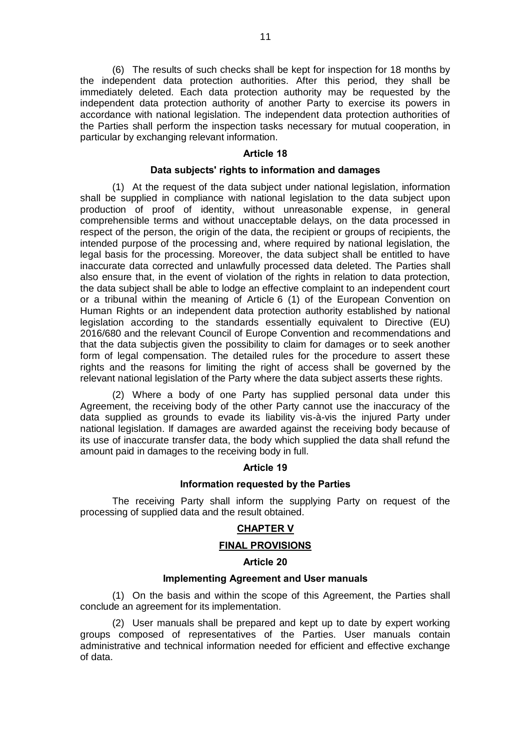(6) The results of such checks shall be kept for inspection for 18 months by the independent data protection authorities. After this period, they shall be immediately deleted. Each data protection authority may be requested by the independent data protection authority of another Party to exercise its powers in accordance with national legislation. The independent data protection authorities of the Parties shall perform the inspection tasks necessary for mutual cooperation, in particular by exchanging relevant information.

#### **Article 18**

#### **Data subjects' rights to information and damages**

(1) At the request of the data subject under national legislation, information shall be supplied in compliance with national legislation to the data subject upon production of proof of identity, without unreasonable expense, in general comprehensible terms and without unacceptable delays, on the data processed in respect of the person, the origin of the data, the recipient or groups of recipients, the intended purpose of the processing and, where required by national legislation, the legal basis for the processing. Moreover, the data subject shall be entitled to have inaccurate data corrected and unlawfully processed data deleted. The Parties shall also ensure that, in the event of violation of the rights in relation to data protection, the data subject shall be able to lodge an effective complaint to an independent court or a tribunal within the meaning of Article 6 (1) of the European Convention on Human Rights or an independent data protection authority established by national legislation according to the standards essentially equivalent to Directive (EU) 2016/680 and the relevant Council of Europe Convention and recommendations and that the data subjectis given the possibility to claim for damages or to seek another form of legal compensation. The detailed rules for the procedure to assert these rights and the reasons for limiting the right of access shall be governed by the relevant national legislation of the Party where the data subject asserts these rights.

(2) Where a body of one Party has supplied personal data under this Agreement, the receiving body of the other Party cannot use the inaccuracy of the data supplied as grounds to evade its liability vis-à-vis the injured Party under national legislation. If damages are awarded against the receiving body because of its use of inaccurate transfer data, the body which supplied the data shall refund the amount paid in damages to the receiving body in full.

## **Article 19**

#### **Information requested by the Parties**

The receiving Party shall inform the supplying Party on request of the processing of supplied data and the result obtained.

#### **CHAPTER V**

#### **FINAL PROVISIONS**

## **Article 20**

# **Implementing Agreement and User manuals**

(1) On the basis and within the scope of this Agreement, the Parties shall conclude an agreement for its implementation.

(2) User manuals shall be prepared and kept up to date by expert working groups composed of representatives of the Parties. User manuals contain administrative and technical information needed for efficient and effective exchange of data.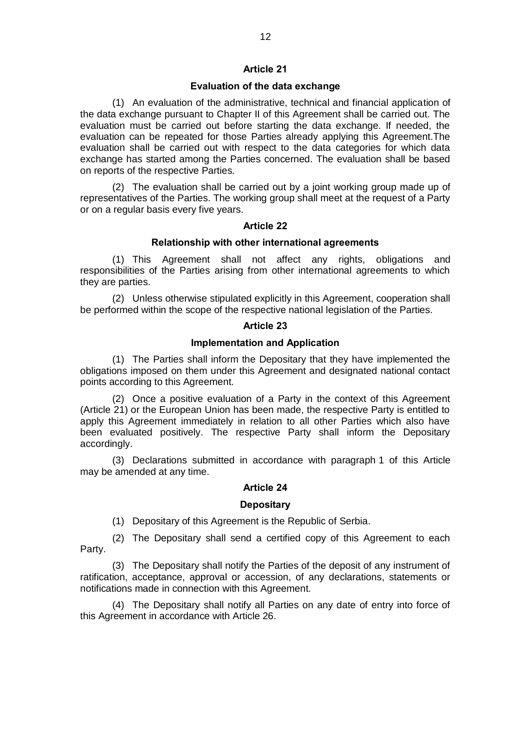# **Article 21**

# **Evaluation of the data exchange**

(1) An evaluation of the administrative, technical and financial application of the data exchange pursuant to Chapter II of this Agreement shall be carried out. The evaluation must be carried out before starting the data exchange. If needed, the evaluation can be repeated for those Parties already applying this Agreement.The evaluation shall be carried out with respect to the data categories for which data exchange has started among the Parties concerned. The evaluation shall be based on reports of the respective Parties.

(2) The evaluation shall be carried out by a joint working group made up of representatives of the Parties. The working group shall meet at the request of a Party or on a regular basis every five years.

# **Article 22**

# **Relationship with other international agreements**

(1) This Agreement shall not affect any rights, obligations and responsibilities of the Parties arising from other international agreements to which they are parties.

(2) Unless otherwise stipulated explicitly in this Agreement, cooperation shall be performed within the scope of the respective national legislation of the Parties.

## **Article 23**

# **Implementation and Application**

(1) The Parties shall inform the Depositary that they have implemented the obligations imposed on them under this Agreement and designated national contact points according to this Agreement.

(2) Once a positive evaluation of a Party in the context of this Agreement (Article 21) or the European Union has been made, the respective Party is entitled to apply this Agreement immediately in relation to all other Parties which also have been evaluated positively. The respective Party shall inform the Depositary accordingly.

(3) Declarations submitted in accordance with paragraph 1 of this Article may be amended at any time.

# **Article 24**

# **Depositary**

(1) Depositary of this Agreement is the Republic of Serbia.

(2) The Depositary shall send a certified copy of this Agreement to each Party.

(3) The Depositary shall notify the Parties of the deposit of any instrument of ratification, acceptance, approval or accession, of any declarations, statements or notifications made in connection with this Agreement.

(4) The Depositary shall notify all Parties on any date of entry into force of this Agreement in accordance with Article 26.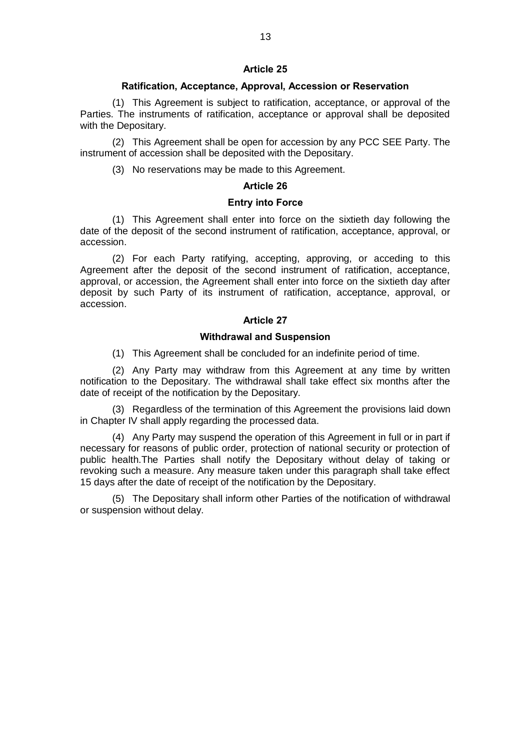# **Article 25**

# **Ratification, Acceptance, Approval, Accession or Reservation**

(1) This Agreement is subject to ratification, acceptance, or approval of the Parties. The instruments of ratification, acceptance or approval shall be deposited with the Depositary.

(2) This Agreement shall be open for accession by any PCC SEE Party. The instrument of accession shall be deposited with the Depositary.

(3) No reservations may be made to this Agreement.

#### **Article 26**

#### **Entry into Force**

(1) This Agreement shall enter into force on the sixtieth day following the date of the deposit of the second instrument of ratification, acceptance, approval, or accession.

(2) For each Party ratifying, accepting, approving, or acceding to this Agreement after the deposit of the second instrument of ratification, acceptance, approval, or accession, the Agreement shall enter into force on the sixtieth day after deposit by such Party of its instrument of ratification, acceptance, approval, or accession.

## **Article 27**

## **Withdrawal and Suspension**

(1) This Agreement shall be concluded for an indefinite period of time.

(2) Any Party may withdraw from this Agreement at any time by written notification to the Depositary. The withdrawal shall take effect six months after the date of receipt of the notification by the Depositary.

(3) Regardless of the termination of this Agreement the provisions laid down in Chapter IV shall apply regarding the processed data.

(4) Any Party may suspend the operation of this Agreement in full or in part if necessary for reasons of public order, protection of national security or protection of public health.The Parties shall notify the Depositary without delay of taking or revoking such a measure. Any measure taken under this paragraph shall take effect 15 days after the date of receipt of the notification by the Depositary.

(5) The Depositary shall inform other Parties of the notification of withdrawal or suspension without delay.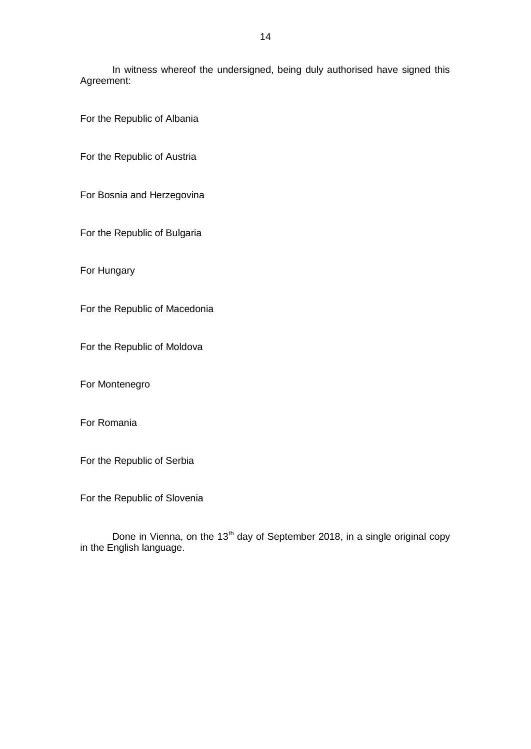In witness whereof the undersigned, being duly authorised have signed this Agreement:

For the Republic of Albania

For the Republic of Austria

For Bosnia and Herzegovina

For the Republic of Bulgaria

For Hungary

For the Republic of Macedonia

For the Republic of Moldova

For Montenegro

For Romania

For the Republic of Serbia

For the Republic of Slovenia

Done in Vienna, on the 13<sup>th</sup> day of September 2018, in a single original copy in the English language.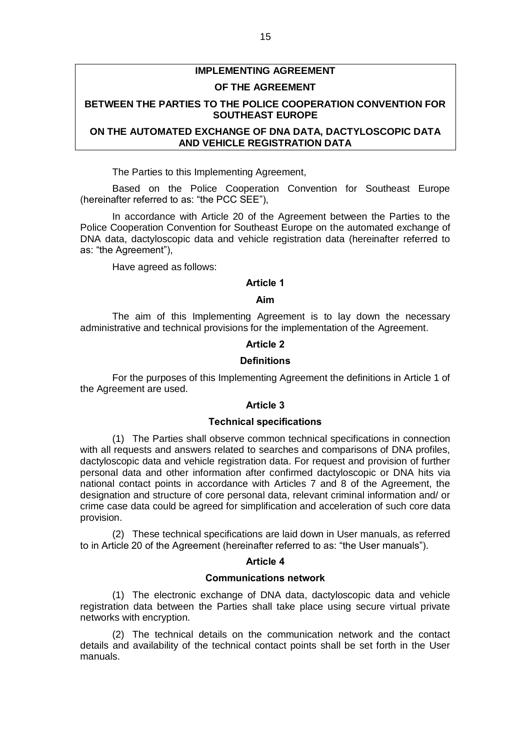# **IMPLEMENTING AGREEMENT**

# **OF THE AGREEMENT**

# **BETWEEN THE PARTIES TO THE POLICE COOPERATION CONVENTION FOR SOUTHEAST EUROPE**

# **ON THE AUTOMATED EXCHANGE OF DNA DATA, DACTYLOSCOPIC DATA AND VEHICLE REGISTRATION DATA**

The Parties to this Implementing Agreement,

Based on the Police Cooperation Convention for Southeast Europe (hereinafter referred to as: "the PCC SEE"),

In accordance with Article 20 of the Agreement between the Parties to the Police Cooperation Convention for Southeast Europe on the automated exchange of DNA data, dactyloscopic data and vehicle registration data (hereinafter referred to as: "the Agreement"),

Have agreed as follows:

# **Article 1**

# **Aim**

The aim of this Implementing Agreement is to lay down the necessary administrative and technical provisions for the implementation of the Agreement.

# **Article 2**

# **Definitions**

For the purposes of this Implementing Agreement the definitions in Article 1 of the Agreement are used.

# **Article 3**

#### **Technical specifications**

(1) The Parties shall observe common technical specifications in connection with all requests and answers related to searches and comparisons of DNA profiles, dactyloscopic data and vehicle registration data. For request and provision of further personal data and other information after confirmed dactyloscopic or DNA hits via national contact points in accordance with Articles 7 and 8 of the Agreement, the designation and structure of core personal data, relevant criminal information and/ or crime case data could be agreed for simplification and acceleration of such core data provision.

(2) These technical specifications are laid down in User manuals, as referred to in Article 20 of the Agreement (hereinafter referred to as: "the User manuals").

## **Article 4**

#### **Communications network**

(1) The electronic exchange of DNA data, dactyloscopic data and vehicle registration data between the Parties shall take place using secure virtual private networks with encryption.

(2) The technical details on the communication network and the contact details and availability of the technical contact points shall be set forth in the User manuals.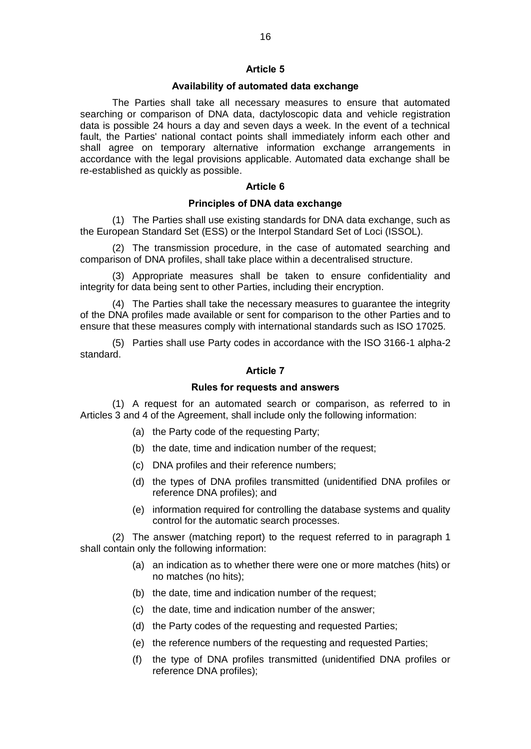# **Article 5**

# **Availability of automated data exchange**

The Parties shall take all necessary measures to ensure that automated searching or comparison of DNA data, dactyloscopic data and vehicle registration data is possible 24 hours a day and seven days a week. In the event of a technical fault, the Parties' national contact points shall immediately inform each other and shall agree on temporary alternative information exchange arrangements in accordance with the legal provisions applicable. Automated data exchange shall be re-established as quickly as possible.

# **Article 6**

# **Principles of DNA data exchange**

(1) The Parties shall use existing standards for DNA data exchange, such as the European Standard Set (ESS) or the Interpol Standard Set of Loci (ISSOL).

(2) The transmission procedure, in the case of automated searching and comparison of DNA profiles, shall take place within a decentralised structure.

(3) Appropriate measures shall be taken to ensure confidentiality and integrity for data being sent to other Parties, including their encryption.

(4) The Parties shall take the necessary measures to guarantee the integrity of the DNA profiles made available or sent for comparison to the other Parties and to ensure that these measures comply with international standards such as ISO 17025.

(5) Parties shall use Party codes in accordance with the ISO 3166-1 alpha-2 standard.

# **Article 7**

# **Rules for requests and answers**

(1) A request for an automated search or comparison, as referred to in Articles 3 and 4 of the Agreement, shall include only the following information:

- (a) the Party code of the requesting Party;
- (b) the date, time and indication number of the request;
- (c) DNA profiles and their reference numbers;
- (d) the types of DNA profiles transmitted (unidentified DNA profiles or reference DNA profiles); and
- (e) information required for controlling the database systems and quality control for the automatic search processes.

(2) The answer (matching report) to the request referred to in paragraph 1 shall contain only the following information:

- (a) an indication as to whether there were one or more matches (hits) or no matches (no hits);
- (b) the date, time and indication number of the request;
- (c) the date, time and indication number of the answer;
- (d) the Party codes of the requesting and requested Parties;
- (e) the reference numbers of the requesting and requested Parties;
- (f) the type of DNA profiles transmitted (unidentified DNA profiles or reference DNA profiles);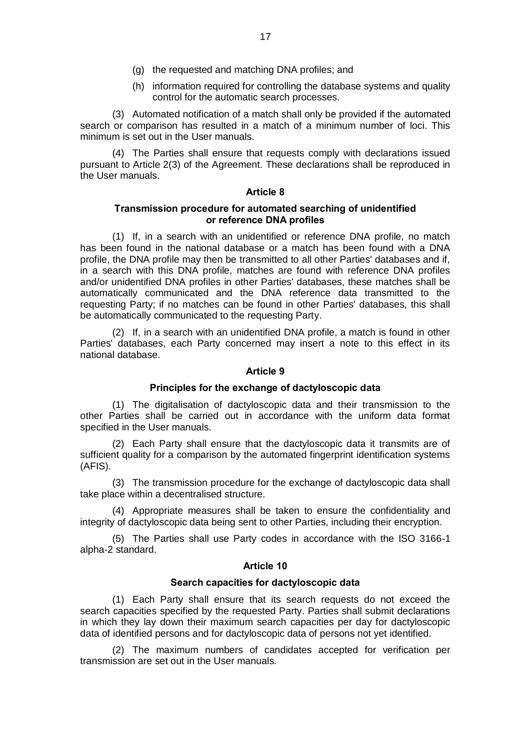- (g) the requested and matching DNA profiles; and
- (h) information required for controlling the database systems and quality control for the automatic search processes.

(3) Automated notification of a match shall only be provided if the automated search or comparison has resulted in a match of a minimum number of loci. This minimum is set out in the User manuals.

(4) The Parties shall ensure that requests comply with declarations issued pursuant to Article 2(3) of the Agreement. These declarations shall be reproduced in the User manuals.

# **Article 8**

# **Transmission procedure for automated searching of unidentified or reference DNA profiles**

(1) If, in a search with an unidentified or reference DNA profile, no match has been found in the national database or a match has been found with a DNA profile, the DNA profile may then be transmitted to all other Parties' databases and if, in a search with this DNA profile, matches are found with reference DNA profiles and/or unidentified DNA profiles in other Parties' databases, these matches shall be automatically communicated and the DNA reference data transmitted to the requesting Party; if no matches can be found in other Parties' databases, this shall be automatically communicated to the requesting Party.

(2) If, in a search with an unidentified DNA profile, a match is found in other Parties' databases, each Party concerned may insert a note to this effect in its national database.

# **Article 9**

## **Principles for the exchange of dactyloscopic data**

(1) The digitalisation of dactyloscopic data and their transmission to the other Parties shall be carried out in accordance with the uniform data format specified in the User manuals.

(2) Each Party shall ensure that the dactyloscopic data it transmits are of sufficient quality for a comparison by the automated fingerprint identification systems (AFIS).

(3) The transmission procedure for the exchange of dactyloscopic data shall take place within a decentralised structure.

(4) Appropriate measures shall be taken to ensure the confidentiality and integrity of dactyloscopic data being sent to other Parties, including their encryption.

(5) The Parties shall use Party codes in accordance with the ISO 3166-1 alpha-2 standard.

# **Article 10**

#### **Search capacities for dactyloscopic data**

(1) Each Party shall ensure that its search requests do not exceed the search capacities specified by the requested Party. Parties shall submit declarations in which they lay down their maximum search capacities per day for dactyloscopic data of identified persons and for dactyloscopic data of persons not yet identified.

(2) The maximum numbers of candidates accepted for verification per transmission are set out in the User manuals.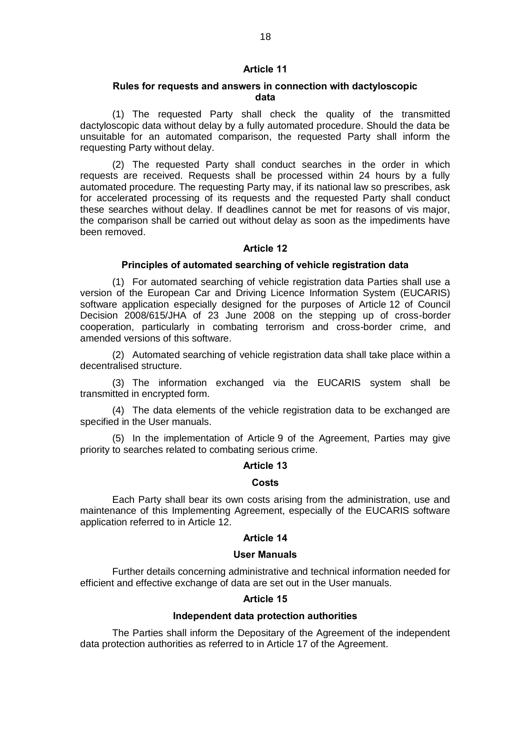# **Article 11**

# **Rules for requests and answers in connection with dactyloscopic data**

(1) The requested Party shall check the quality of the transmitted dactyloscopic data without delay by a fully automated procedure. Should the data be unsuitable for an automated comparison, the requested Party shall inform the requesting Party without delay.

(2) The requested Party shall conduct searches in the order in which requests are received. Requests shall be processed within 24 hours by a fully automated procedure. The requesting Party may, if its national law so prescribes, ask for accelerated processing of its requests and the requested Party shall conduct these searches without delay. If deadlines cannot be met for reasons of vis major, the comparison shall be carried out without delay as soon as the impediments have been removed.

# **Article 12**

# **Principles of automated searching of vehicle registration data**

(1) For automated searching of vehicle registration data Parties shall use a version of the European Car and Driving Licence Information System (EUCARIS) software application especially designed for the purposes of Article 12 of Council Decision 2008/615/JHA of 23 June 2008 on the stepping up of cross-border cooperation, particularly in combating terrorism and cross-border crime, and amended versions of this software.

(2) Automated searching of vehicle registration data shall take place within a decentralised structure.

(3) The information exchanged via the EUCARIS system shall be transmitted in encrypted form.

(4) The data elements of the vehicle registration data to be exchanged are specified in the User manuals.

(5) In the implementation of Article 9 of the Agreement, Parties may give priority to searches related to combating serious crime.

#### **Article 13**

#### **Costs**

Each Party shall bear its own costs arising from the administration, use and maintenance of this Implementing Agreement, especially of the EUCARIS software application referred to in Article 12.

#### **Article 14**

## **User Manuals**

Further details concerning administrative and technical information needed for efficient and effective exchange of data are set out in the User manuals.

# **Article 15**

#### **Independent data protection authorities**

The Parties shall inform the Depositary of the Agreement of the independent data protection authorities as referred to in Article 17 of the Agreement.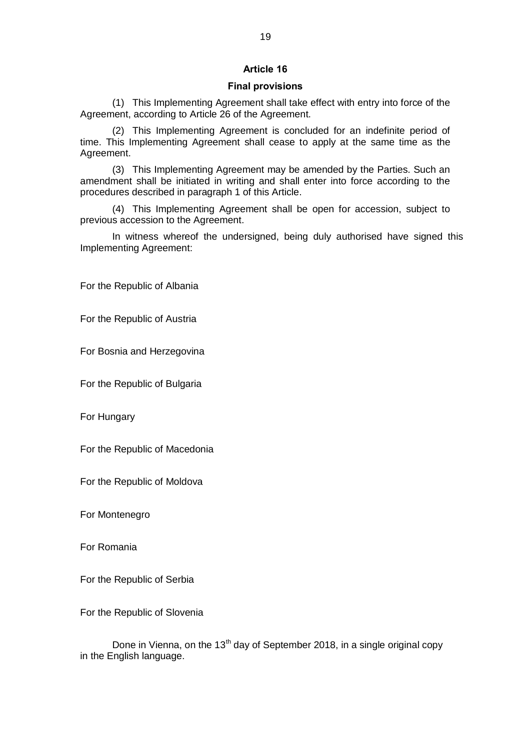# **Article 16**

# **Final provisions**

(1) This Implementing Agreement shall take effect with entry into force of the Agreement, according to Article 26 of the Agreement.

(2) This Implementing Agreement is concluded for an indefinite period of time. This Implementing Agreement shall cease to apply at the same time as the Agreement.

(3) This Implementing Agreement may be amended by the Parties. Such an amendment shall be initiated in writing and shall enter into force according to the procedures described in paragraph 1 of this Article.

(4) This Implementing Agreement shall be open for accession, subject to previous accession to the Agreement.

In witness whereof the undersigned, being duly authorised have signed this Implementing Agreement:

For the Republic of Albania

For the Republic of Austria

For Bosnia and Herzegovina

For the Republic of Bulgaria

For Hungary

For the Republic of Macedonia

For the Republic of Moldova

For Montenegro

For Romania

For the Republic of Serbia

For the Republic of Slovenia

Done in Vienna, on the  $13<sup>th</sup>$  day of September 2018, in a single original copy in the English language.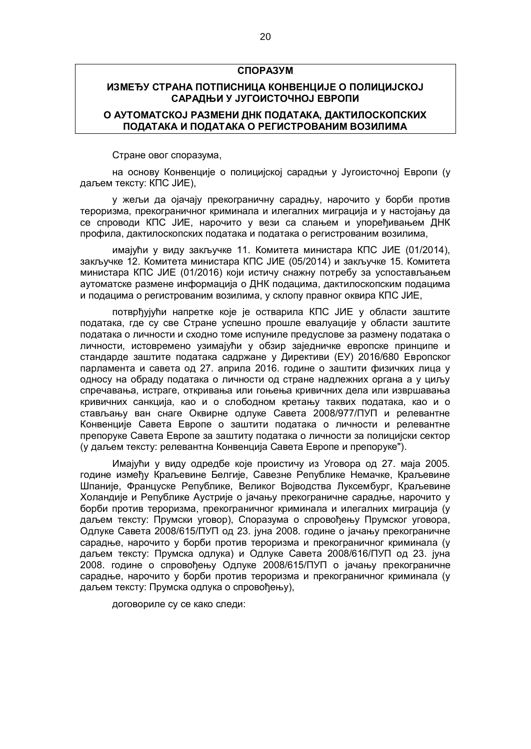## **СПОРАЗУМ**

# **ИЗМЕЂУ СТРАНА ПОТПИСНИЦА КОНВЕНЦИЈЕ О ПОЛИЦИЈСКОЈ САРАДЊИ У ЈУГОИСТОЧНОЈ ЕВРОПИ**

# **О АУТОМАТСКОЈ РАЗМЕНИ ДНК ПОДАТАКА, ДАКТИЛОСКОПСКИХ ПОДАТАКА И ПОДАТАКА О РЕГИСТРОВАНИМ ВОЗИЛИМА**

Стране овог споразума,

на основу Конвенције о полицијској сарадњи у Југоисточној Европи (у даљем тексту: КПС ЈИЕ),

у жељи да ојачају прекограничну сарадњу, нарочито у борби против тероризма, прекограничног криминала и илегалних миграција и у настојању да се спроводи КПС ЈИЕ, нарочито у вези са слањем и упоређивањем ДНК профила, дактилоскопских података и података о регистрованим возилима,

имајући у виду закључке 11. Комитета министара КПС ЈИЕ (01/2014), закључке 12. Комитета министара КПС ЈИЕ (05/2014) и закључке 15. Комитета министара КПС ЈИЕ (01/2016) који истичу снажну потребу за успостављањем аутоматске размене информација о ДНК подацима, дактилоскопским подацима и подацима о регистрованим возилима, у склопу правног оквира КПС ЈИЕ,

потврђујући напретке које је остварила КПС ЈИЕ у области заштите података, где су све Стране успешно прошле евалуације у области заштите података о личности и сходно томе испуниле предуслове за размену података о личности, истовремено узимајући у обзир заједничке европске принципе и стандарде заштите података садржанe у Директиви (ЕУ) 2016/680 Европског парламента и савета од 27. априла 2016. године о заштити физичких лица у односу на обраду података о личности од стране надлежних органа а у циљу спречавања, истраге, откривања или гоњења кривичних дела или извршавања кривичних санкција, као и о слободном кретању таквих података, као и о стављању ван снаге Оквирне одлуке Савета 2008/977/ПУП и релевантне Конвенције Савета Европе о заштити података о личности и релевантне препоруке Савета Европе за заштиту података о личности за полицијски сектор (у даљем тексту: релевантна Конвенција Савета Европе и препоруке").

Имајући у виду одредбе које проистичу из Уговора од 27. маја 2005. године између Краљевине Белгије, Савезне Републике Немачке, Краљевине Шпаније, Француске Републике, Великог Војводства Луксембург, Краљевине Холандије и Републике Аустрије о јачању прекограничне сарадње, нарочито у борби против тероризма, прекограничног криминала и илегалних миграција (у даљем тексту: Прумски уговор), Споразума о спровођењу Прумског уговора, Одлуке Савета 2008/615/ПУП од 23. јуна 2008. године о јачању прекограничне сарадње, нарочито у борби против тероризма и прекограничног криминала (у даљем тексту: Прумска одлука) и Одлуке Савета 2008/616/ПУП од 23. јуна 2008. године о спровођењу Одлуке 2008/615/ПУП о јачању прекограничне сарадње, нарочито у борби против тероризма и прекограничног криминала (у даљем тексту: Прумска одлука о спровођењу),

договориле су се како следи: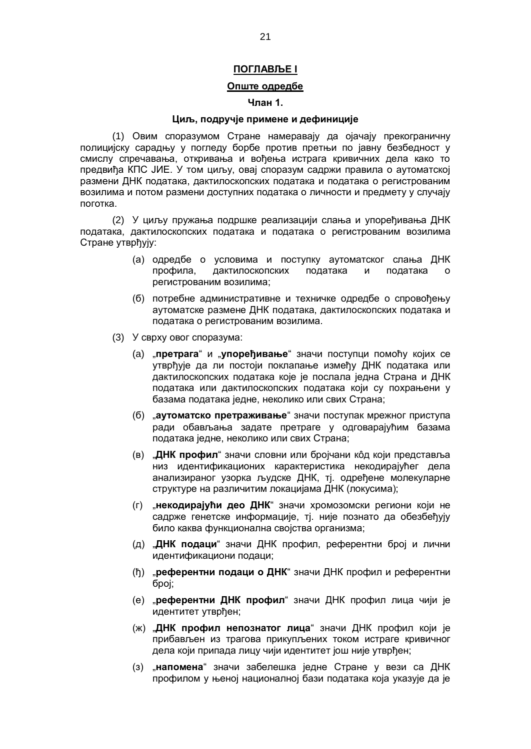# **ПОГЛАВЉЕ I**

# **Опште одредбе**

# **Члан 1.**

#### **Циљ, подручје примене и дефиниције**

(1) Овим споразумом Стране намеравају да ојачају прекограничну полицијску сарадњу у погледу борбе против претњи по јавну безбедност у смислу спречавања, откривања и вођења истрага кривичних дела како то предвиђа КПС ЈИЕ. У том циљу, овај споразум садржи правила о аутоматској размени ДНК података, дактилоскопских података и података о регистрованим возилима и потом размени доступних података о личности и предмету у случају поготка.

(2) У циљу пружања подршке реализацији слања и упоређивања ДНК података, дактилоскопских података и података о регистрованим возилима Стране утврђују:

- (а) одредбе о условима и поступку аутоматског слања ДНК профила, дактилоскопских података и података о регистрованим возилима;
- (б) потребне административне и техничке одредбе о спровођењу аутоматске размене ДНК података, дактилоскопских података и података о регистрованим возилима.
- (3) У сврху овог споразума:
	- (a) "**претрага**" и "**упоређивање**" значи поступци помоћу којих се утврђује да ли постоји поклапање између ДНК података или дактилоскопских података које је послала једна Страна и ДНК података или дактилоскопских података који су похрањени у базама података једне, неколико или свих Страна;
	- (б) "**аутоматско претраживање**" значи поступак мрежног приступа ради обављања задате претраге у одговарајућим базама података једне, неколико или свих Страна;
	- (в) "**ДНК профил**" значи словни или бројчани кôд који представља низ идентификационих карактеристика некодирајућег дела анализираног узорка људске ДНК, тј. одређене молекуларне структуре на различитим локацијама ДНК (локусима);
	- (г) "**некодирајући део ДНК**" значи хромозомски региони који не садрже генетске информације, тј. није познато да обезбеђују било каква функционална својства организма;
	- (д) "**ДНК подаци**" значи ДНК профил, референтни број и лични идентификациони подаци;
	- (ђ) "**референтни подаци о ДНК**" значи ДНК профил и референтни број;
	- (е) "**референтни ДНК профил**" значи ДНК профил лица чији је идентитет утврђен;
	- (ж) "**ДНК профил непознатог лица**" значи ДНК профил који је прибављен из трагова прикупљених током истраге кривичног дела који припада лицу чији идентитет још није утврђен;
	- (з) "**напомена**" значи забелешка једне Стране у вези са ДНК профилом у њеној националној бази података која указује да је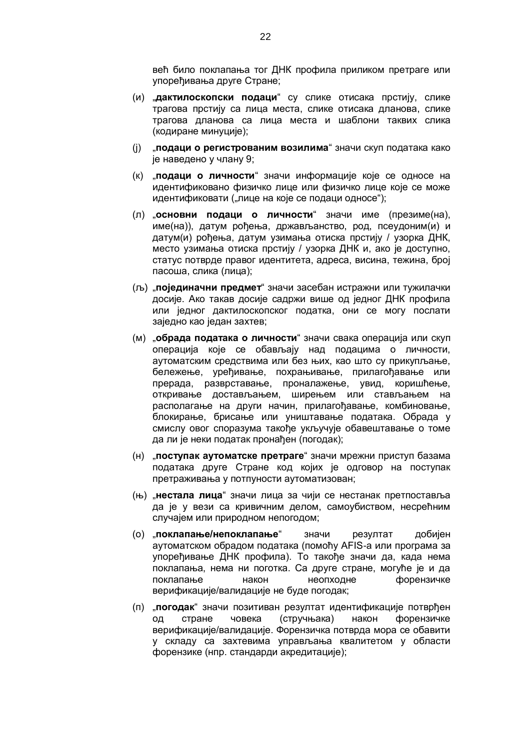већ било поклапања тог ДНК профила приликом претраге или упоређивања друге Стране;

- (и) "**дактилоскопски подаци**" су слике отисака прстију, слике трагова прстију са лица места, слике отисака дланова, слике трагова дланова са лица места и шаблони таквих слика (кодиране минуције);
- (ј) "**подаци о регистрованим возилима**" значи скуп података како је наведено у члану 9;
- (к) "**подаци о личности**" значи информације које се односе на идентификовано физичко лице или физичко лице које се може идентификовати ("лице на које се подаци односе");
- (л) "**основни подаци о личности**" значи име (презиме(на), име(на)), датум рођења, држављанство, род, псеудоним(и) и датум(и) рођења, датум узимања отиска прстију / узорка ДНК, место узимања отиска прстију / узорка ДНК и, ако је доступно, статус потврде правог идентитета, адреса, висина, тежина, број пасоша, слика (лица);
- (љ) "**појединачни предмет**" значи засебан истражни или тужилачки досије. Ако такав досије садржи више од једног ДНК профила или једног дактилоскопског податка, они се могу послати заједно као један захтев;
- (м) "**обрада података о личности**" значи свака операција или скуп операција које се обављају над подацима о личности, аутоматским средствима или без њих, као што су прикупљање, бележење, уређивање, похрањивање, прилагођавање или прерада, разврставање, проналажење, увид, коришћење, откривање достављањем, ширењем или стављањем на располагање на други начин, прилагођавање, комбиновање, блокирање, брисање или уништавање података. Обрада у смислу овог споразума такође укључује обавештавање о томе да ли је неки податак пронађен (погодак);
- (н) "**поступак аутоматске претраге**" значи мрежни приступ базама података друге Стране код којих је одговор на поступак претраживања у потпуности аутоматизован;
- (њ) "**нестала лица**" значи лица за чији се нестанак претпоставља да је у вези са кривичним делом, самоубиством, несрећним случајем или природном непогодом;
- (о) "**поклапање/непоклапање**" значи резултат добијен аутоматском обрадом података (помоћу AFIS-а или програма за упоређивање ДНК профила). То такође значи да, када нема поклапања, нема ни поготка. Са друге стране, могуће је и да поклапање након неопходне форензичке верификације/валидације не буде погодак;
- (п) "**погодак**" значи позитиван резултат идентификације потврђен од стране човека (стручњакa) након форензичке верификације/валидације. Форензичка потврда мора се обавити у складу са захтевима управљања квалитетом у области форензике (нпр. стандарди акредитације);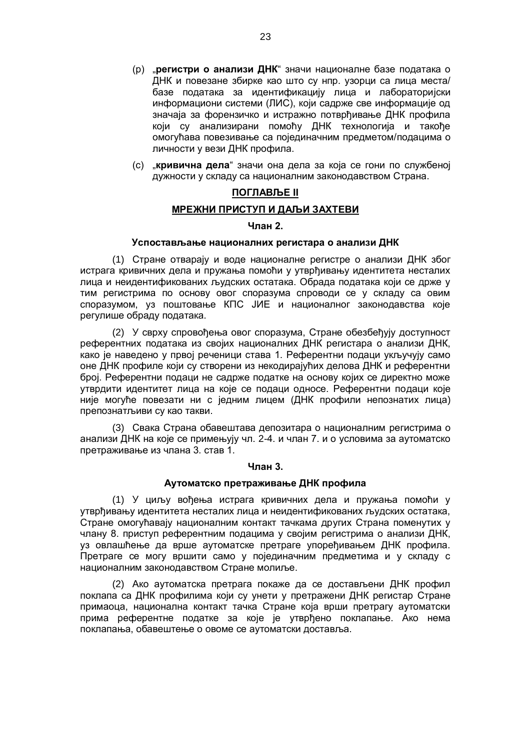- (р) "**регистри о анализи ДНК**" значи националне базе података о ДНК и повезане збирке као што су нпр. узорци са лица места/ базе података за идентификацију лица и лабораторијски информациони системи (ЛИС), који садрже све информације од значаја за форензичко и истражно потврђивање ДНК профила који су анализирани помоћу ДНК технологија и такође омогућава повезивање са појединачним предметом/подацима о личности у вези ДНК профила.
- (с) "**кривична дела**" значи она дела за која се гони по службеној дужности у складу са националним законодавством Страна.

# **ПОГЛАВЉЕ II**

# **МРЕЖНИ ПРИСТУП И ДАЉИ ЗАХТЕВИ**

#### **Члан 2.**

## **Успостављање националних регистaра о анализи ДНК**

(1) Стране отварају и воде националне регистре о анализи ДНК због истрага кривичних дела и пружања помоћи у утврђивању идентитета несталих лица и неидентификованих људских остатака. Обрада података који се држе у тим регистрима по основу овог споразума спроводи се у складу са овим споразумом, уз поштовање КПС ЈИЕ и националног законодавства које регулише обраду података.

(2) У сврху спровођења овог споразума, Стране обезбеђују доступност референтних података из својих националних ДНК регистара о анализи ДНК, како је наведено у првој реченици става 1. Референтни подаци укључују само оне ДНК профиле који су створени из некодирајућих делова ДНК и референтни број. Референтни подаци не садрже податке на основу којих се директно може утврдити идентитет лица на које се подаци односе. Референтни подаци које није могуће повезати ни с једним лицем (ДНК профили непознатих лица) препознатљиви су као такви.

(3) Свака Страна обавештава депозитара о националним регистрима о анализи ДНК на које се примењују чл. 2-4. и члан 7. и о условима за аутоматско претраживање из члана 3. став 1.

#### **Члан 3.**

# **Аутоматско претраживање ДНК профила**

(1) У циљу вођења истрага кривичних дела и пружања помоћи у утврђивању идентитета несталих лица и неидентификованих људских остатака, Стране омогућавају националним контакт тачкама других Страна поменутих у члану 8. приступ референтним подацима у својим регистрима о анализи ДНК, уз овлашћење да врше аутоматске претраге упоређивањем ДНК профила. Претраге се могу вршити само у појединачним предметима и у складу с националним законодавством Стране молиље.

(2) Ако аутоматска претрага покаже да се достављени ДНК профил поклапа са ДНК профилима који су унети у претражени ДНК регистар Стране примаоца, национална контакт тачка Стране која врши претрагу аутоматски прима референтне податке за које је утврђено поклапање. Ако нема поклапања, обавештење о овоме се аутоматски доставља.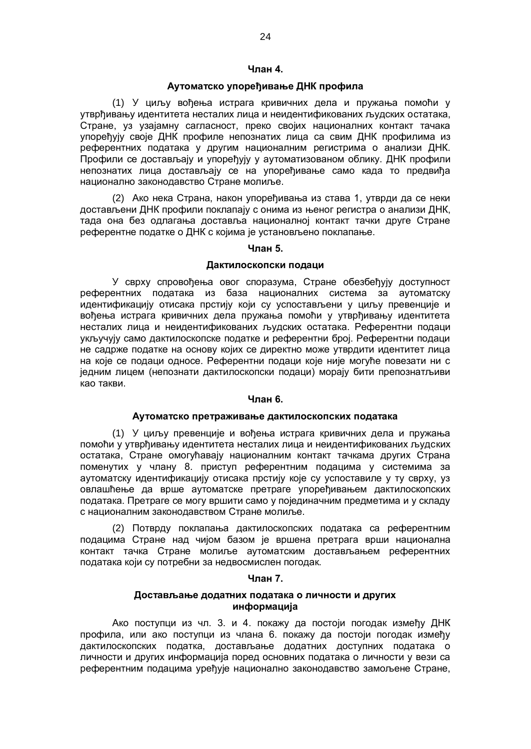# **Члан 4.**

## **Аутоматско упоређивање ДНК профила**

(1) У циљу вођења истрага кривичних дела и пружања помоћи у утврђивању идентитета несталих лица и неидентификованих људских остатака, Стране, уз узајамну сагласност, преко својих националних контакт тачака упоређују своје ДНК профиле непознатих лица са свим ДНК профилима из референтних података у другим националним регистрима о анализи ДНК. Профили се достављају и упоређују у аутоматизованом облику. ДНК профили непознатих лица достављају се на упоређивање само када то предвиђа национално законодавство Стране молиље.

(2) Ако нека Страна, након упоређивања из става 1, утврди да се неки достављени ДНК профили поклапају с онима из њеног регистра о анализи ДНК, тада она без одлагања доставља националној контакт тачки друге Стране референтне податке о ДНК с којима је установљено поклапање.

# **Члан 5.**

## **Дактилоскопски подаци**

У сврху спровођења овог споразума, Стране обезбеђују доступност референтних података из база националних система за аутоматску идентификацију отисака прстију који су успостављени у циљу превенције и вођења истрага кривичних дела пружања помоћи у утврђивању идентитета несталих лица и неидентификованих људских остатака. Референтни подаци укључују само дактилоскопске податке и референтни број. Референтни подаци не садрже податке на основу којих се директно може утврдити идентитет лица на које се подаци односе. Референтни подаци које није могуће повезати ни с једним лицем (непознати дактилоскопски подаци) морају бити препознатљиви као такви.

#### **Члан 6.**

# **Аутоматско претраживање дактилоскопских података**

(1) У циљу превенције и вођења истрага кривичних дела и пружања помоћи у утврђивању идентитета несталих лица и неидентификованих људских остатака, Стране омогућавају националним контакт тачкама других Страна поменутих у члану 8. приступ референтним подацима у системима за аутоматску идентификацију отисака прстију које су успоставиле у ту сврху, уз овлашћење да врше аутоматске претраге упоређивањем дактилоскопских података. Претраге се могу вршити само у појединачним предметима и у складу с националним законодавством Стране молиље.

(2) Потврду поклапања дактилоскопских података са референтним подацима Стране над чијом базом је вршена претрага врши национална контакт тачка Стране молиље аутоматским достављањем референтних података који су потребни за недвосмислен погодак.

#### **Члан 7.**

# **Достављање додатних података о личности и других информација**

Ако поступци из чл. 3. и 4. покажу да постоји погодак између ДНК профила, или ако поступци из члана 6. покажу да постоји погодак између дактилоскопских податка, достављање додатних доступних података о личности и других информација поред основних података о личности у вези са референтним подацима уређује национално законодавство замољене Стране,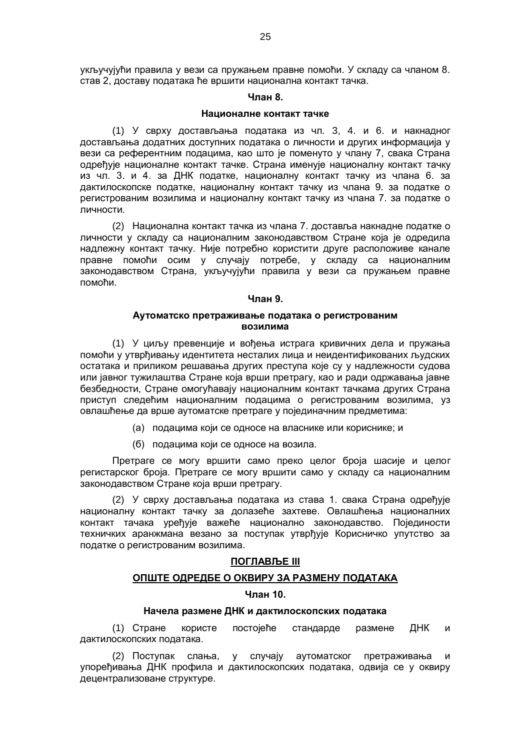укључујући правила у вези са пружањем правне помоћи. У складу са чланом 8. став 2, доставу података ће вршити национална контакт тачка.

#### **Члан 8.**

#### **Националне контакт тачке**

(1) У сврху достављања података из чл. 3, 4. и 6. и накнадног достављања додатних доступних података о личности и других информација у вези са референтним подацима, као што је поменуто у члану 7, свака Страна одређује националне контакт тачке. Страна именује националну контакт тачку из чл. 3. и 4. за ДНК податке, националну контакт тачку из члана 6. за дактилоскопске податке, националну контакт тачку из члана 9. за податке о регистрованим возилима и националну контакт тачку из члана 7. за податке о личности.

(2) Национална контакт тачка из члана 7. доставља накнадне податке о личности у складу са националним законодавством Стране која је одредила надлежну контакт тачку. Није потребно користити друге расположиве канале правне помоћи осим у случају потребе, у складу са националним законодавством Страна, укључујући правила у вези са пружањем правне помоћи.

# **Члан 9.**

# **Аутоматско претраживање података о регистрованим возилима**

(1) У циљу превенције и вођења истрага кривичних дела и пружања помоћи у утврђивању идентитета несталих лица и неидентификованих људских остатака и приликом решавања других преступа које су у надлежности судова или јавног тужилаштва Стране која врши претрагу, као и ради одржавања јавне безбедности, Стране омогућавају националним контакт тачкама других Страна приступ следећим националним подацима о регистрованим возилима, уз овлашћење да врше аутоматске претраге у појединачним предметима:

- (а) подацима који се односе на власнике или кориснике; и
- (б) подацима који се односе на возила.

Претраге се могу вршити само преко целог броја шасије и целог регистарског броја. Претраге се могу вршити само у складу са националним законодавством Стране која врши претрагу.

(2) У сврху достављања података из става 1. свака Страна одређује националну контакт тачку за долазеће захтеве. Овлашћења националних контакт тачака уређује важеће национално законодавство. Појединости техничких аранжмана везано за поступак утврђује Корисничко упутство за податке о регистрованим возилима.

# **ПОГЛАВЉЕ III**

# **ОПШТЕ ОДРЕДБЕ О ОКВИРУ ЗА РАЗМЕНУ ПОДАТАКА**

#### **Члан 10.**

## **Начела размене ДНК и дактилоскопских података**

(1) Стране користе постојеће стандарде размене ДНК и дактилоскопских података.

(2) Поступак слања, у случају аутоматског претраживања и упоређивања ДНК профила и дактилоскопских података, одвија се у оквиру децентрализоване структуре.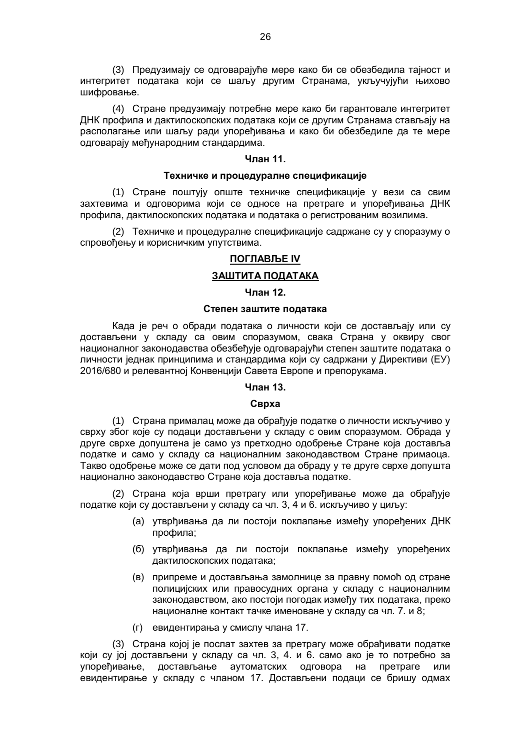(3) Предузимају се одговарајуће мере како би се обезбедила тајност и интегритет података који се шаљу другим Странама, укључујући њихово шифровање.

(4) Стране предузимају потребне мере како би гарантовале интегритет ДНК профила и дактилоскопских података који се другим Странама стављају на располагање или шаљу ради упоређивања и како би обезбедиле да те мере одговарају међународним стандардима.

## **Члан 11.**

#### **Техничке и процедуралне спецификације**

(1) Стране поштују опште техничке спецификације у вези са свим захтевима и одговорима који се односе на претраге и упоређивања ДНК профила, дактилоскопских података и података о регистрованим возилима.

(2) Техничке и процедуралне спецификације садржане су у споразуму о спровођењу и корисничким упутствима.

# **ПОГЛАВЉЕ IV**

# **ЗАШТИТА ПОДАТАКА**

# **Члан 12.**

# **Степен заштите података**

Када је реч о обради података о личности који се достављају или су достављени у складу са овим споразумом, свака Страна у оквиру свог националног законодавства обезбеђује одговарајући степен заштите података о личности једнак принципима и стандардима који су садржани у Директиви (ЕУ) 2016/680 и релевантној Конвенцији Савета Европе и препорукама.

# **Члан 13.**

# **Сврха**

(1) Страна прималац може да обрађује податке о личности искључиво у сврху због које су подаци достављени у складу с овим споразумом. Обрада у друге сврхе допуштена је само уз претходно одобрење Стране која доставља податке и само у складу са националним законодавством Стране примаоца. Такво одобрење може се дати под условом да обраду у те друге сврхе допушта национално законодавство Стране која доставља податке.

(2) Страна која врши претрагу или упоређивање може да обрађује податке који су достављени у складу са чл. 3, 4 и 6. искључиво у циљу:

- (a) утврђивања да ли постоји поклапање између упоређених ДНК профила;
- (б) утврђивања да ли постоји поклапање између упоређених дактилоскопских података;
- (в) припреме и достављања замолнице за правну помоћ од стране полицијских или правосудних органа у складу с националним законодавством, ако постоји погодак између тих података, преко националне контакт тачке именоване у складу са чл. 7. и 8;
- (г) евидентирања у смислу члана 17.

(3) Страна којој је послат захтев за претрагу може обрађивати податке који су јој достављени у складу са чл. 3, 4. и 6. само ако је то потребно за упоређивање, достављање аутоматских одговора на претраге или евидентирање у складу с чланом 17. Достављени подаци се бришу одмах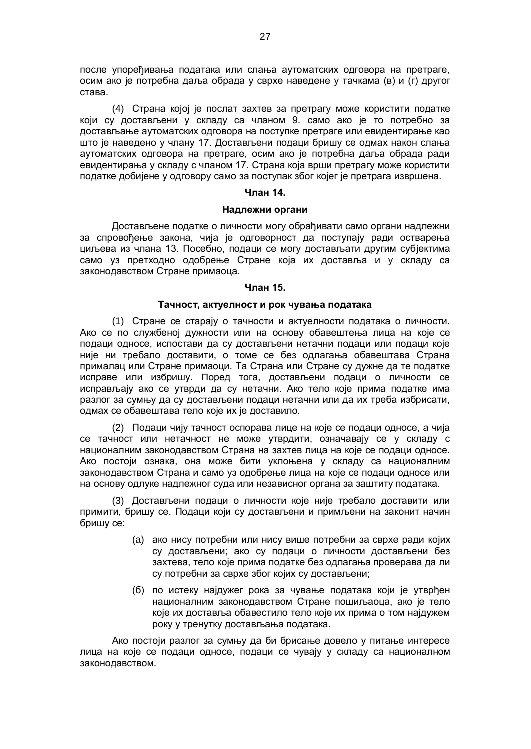после упоређивања података или слања аутоматских одговора на претраге, осим ако је потребна даља обрада у сврхе наведене у тачкама (в) и (г) другог става.

(4) Странa којој је послат захтев за претрагу може користити податке који су достављени у складу са чланом 9. само ако је то потребно за достављање аутоматских одговора на поступке претраге или евидентирање као што је наведено у члану 17. Достављени подаци бришу се одмах након слања аутоматских одговора на претраге, осим ако је потребна даља обрада ради евидентирања у складу с чланом 17. Страна која врши претрагу може користити податке добијене у одговору само за поступак због којег је претрага извршена.

## **Члан 14.**

#### **Надлежни органи**

Достављене податке о личности могу обрађивати само органи надлежни за спровођење закона, чија је одговорност да поступају ради остварења циљева из члана 13. Посебно, подаци се могу достављати другим субјектима само уз претходно одобрење Стране која их доставља и у складу са законодавством Стране примаоца.

# **Члан 15.**

## **Тачност, актуелност и рок чувања података**

(1) Стране се старају о тачности и актуелности података о личности. Ако се по службеној дужности или на основу обавештења лица на које се подаци односе, испостави да су достављени нетачни подаци или подаци које није ни требало доставити, о томе се без одлагања обавештава Страна прималац или Стране примаоци. Та Страна или Стране су дужне да те податке исправе или избришу. Поред тога, достављени подаци о личности се исправљају ако се утврди да су нетачни. Ако тело које прима податке има разлог за сумњу да су достављени подаци нетачни или да их треба избрисати, одмах се обавештава тело које их је доставило.

(2) Подаци чију тачност оспорава лице на које се подаци односе, а чија се тачност или нетачност не може утврдити, означавају се у складу с националним законодавством Страна на захтев лица на које се подаци односе. Ако постоји ознака, она може бити уклоњена у складу са националним законодавством Страна и само уз одобрење лица на које се подаци односе или на основу одлуке надлежног суда или независног органа за заштиту података.

(3) Достављени подаци о личности које није требало доставити или примити, бришу се. Подаци који су достављени и примљени на законит начин бришу се:

- (a) ако нису потребни или нису више потребни за сврхе ради којих су достављени; ако су подаци о личности достављени без захтева, тело које прима податке без одлагања проверава да ли су потребни за сврхе због којих су достављени;
- (б) по истеку најдужег рока за чување података који је утврђен националним законодавством Стране пошиљаоца, ако је тело које их доставља обавестило тело које их прима о том најдужем року у тренутку достављања података.

Ако постоји разлог за сумњу да би брисање довело у питање интересе лица на које се подаци односе, подаци се чувају у складу са националном законодавством.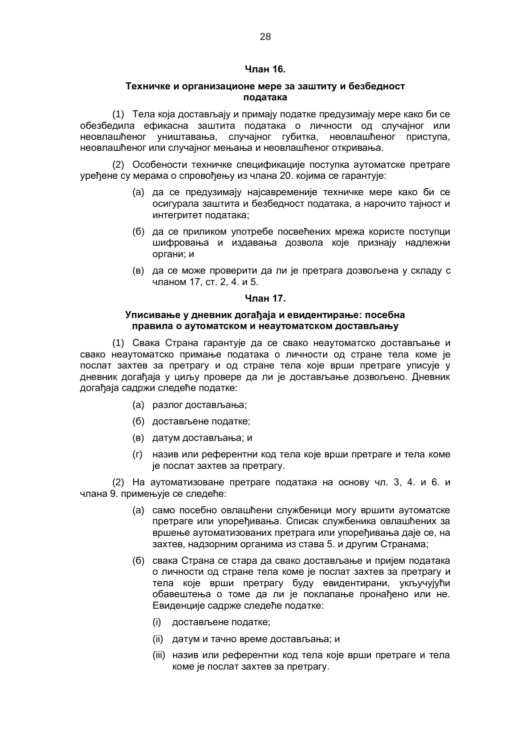# **Члан 16.**

# **Техничке и организационе мере за заштиту и безбедност података**

(1) Тела која достављају и примају податке предузимају мере како би се обезбедила ефикасна заштита података о личности од случајног или неовлашћеног уништавања, случајног губитка, неовлашћеног приступа, неовлашћеног или случајног мењања и неовлашћеног откривања.

(2) Особености техничке спецификације поступка аутоматске претраге уређене су мерама о спровођењу из члана 20. којима се гарантује:

- (a) да се предузимају најсавременије техничке мере како би се осигурала заштита и безбедност података, а нарочито тајност и интегритет података;
- (б) да се приликом употребе посвећених мрежа користе поступци шифровања и издавања дозвола које признају надлежни органи; и
- (в) да се може проверити да ли је претрага дозвољена у складу с чланом 17, ст. 2, 4. и 5.

#### **Члан 17.**

#### **Уписивање у дневник догађаја и евидентирање: посебна правила о аутоматском и неаутоматском достављању**

(1) Свака Страна гарантује да се свако неаутоматско достављање и свако неаутоматско примање података о личности од стране тела коме је послат захтев за претрагу и од стране тела које врши претраге уписује у дневник догађаја у циљу провере да ли је достављање дозвољено. Дневник догађаја садржи следеће податке:

- (a) разлог достављања;
- (б) достављене податке;
- (в) датум достављања; и
- (г) назив или референтни код тела које врши претраге и тела коме је послат захтев за претрагу.

(2) На аутоматизоване претраге података на основу чл. 3, 4. и 6. и члана 9. примењује се следеће:

- (a) само посебно овлашћени службеници могу вршити аутоматске претраге или упоређивања. Списак службеника овлашћених за вршење аутоматизованих претрага или упоређивања даје се, на захтев, надзорним органима из става 5. и другим Странама;
- (б) свака Страна се стара да свако достављање и пријем података о личности од стране тела коме је послат захтев за претрагу и тела које врши претрагу буду евидентирани, укључујући обавештења о томе да ли је поклапање пронађено или не. Евиденције садрже следеће податке:
	- (i) достављене податке;
	- (ii) датум и тачно време достављања; и
	- (iii) назив или референтни код тела које врши претраге и тела коме је послат захтев за претрагу.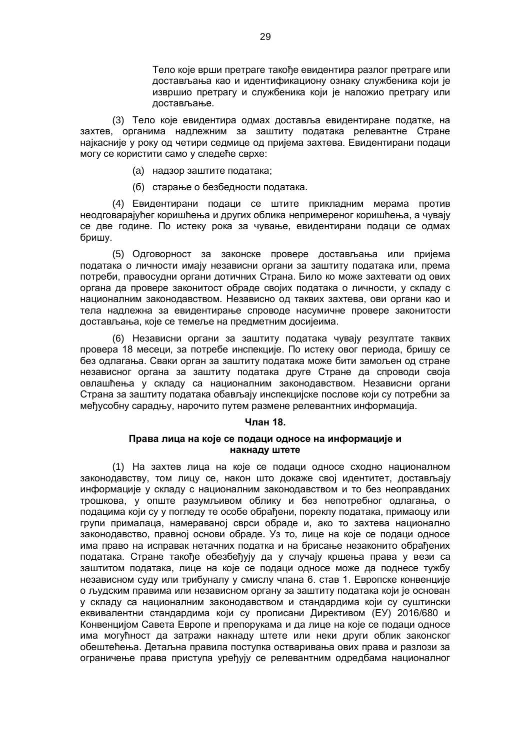Тело које врши претраге такође евидентира разлог претраге или достављања као и идентификациону ознаку службеника који је извршио претрагу и службеника који је наложио претрагу или достављање.

(3) Тело које евидентира одмах доставља евидентиране податке, на захтев, органима надлежним за заштиту података релевантне Стране најкасније у року од четири седмице од пријема захтева. Евидентирани подаци могу се користити само у следеће сврхе:

- (a) надзор заштите података;
- (б) старање о безбедности података.

(4) Евидентирани подаци се штите прикладним мерама против неодговарајућег коришћења и других облика непримереног коришћења, а чувају се две године. По истеку рока за чување, евидентирани подаци се одмах бришу.

(5) Одговорност за законске провере достављања или пријема података о личности имају независни органи за заштиту података или, према потреби, правосудни органи дотичних Страна. Било ко може захтевати од ових органа да провере законитост обраде својих података о личности, у складу с националним законодавством. Независно од таквих захтева, ови органи као и тела надлежна за евидентирање спроводе насумичне провере законитости достављања, које се темеље на предметним досијеима.

(6) Независни органи за заштиту података чувају резултате таквих провера 18 месеци, за потребе инспекције. По истеку овог периода, бришу се без одлагања. Сваки орган за заштиту података може бити замољен од стране независног органа за заштиту података друге Стране да спроводи своја овлашћења у складу са националним законодавством. Независни органи Страна за заштиту података обављају инспекцијске послове који су потребни за међусобну сарадњу, нарочито путем размене релевантних информација.

# **Члан 18.**

# **Права лица на које се подаци односе на информације и накнаду штете**

(1) На захтев лица на које се подаци односе сходно националном законодавству, том лицу се, након што докаже свој идентитет, достављају информације у складу с националним законодавством и то без неоправданих трошкова, у опште разумљивом облику и без непотребног одлагања, о подацима који су у погледу те особе обрађени, пореклу података, примаоцу или групи прималаца, намераваној сврси обраде и, ако то захтева национално законодавство, правној основи обраде. Уз то, лице на које се подаци односе има право на исправак нетачних податка и на брисање незаконито обрађених података. Стране такође обезбеђују да у случају кршења права у вези са заштитом података, лице на које се подаци односе може да поднесе тужбу независном суду или трибуналу у смислу члана 6. став 1. Европске конвенције о људским правима или независном органу за заштиту података који је основан у складу са националним законодавством и стандардима који су суштински еквивалентни стандардима који су прописани Директивом (ЕУ) 2016/680 и Конвенцијом Савета Европе и препорукама и да лице на које се подаци односе има могућност да затражи накнаду штете или неки други облик законског обештећења. Детаљна правила поступка остваривања ових права и разлози за ограничење права приступа уређују се релевантним одредбама националног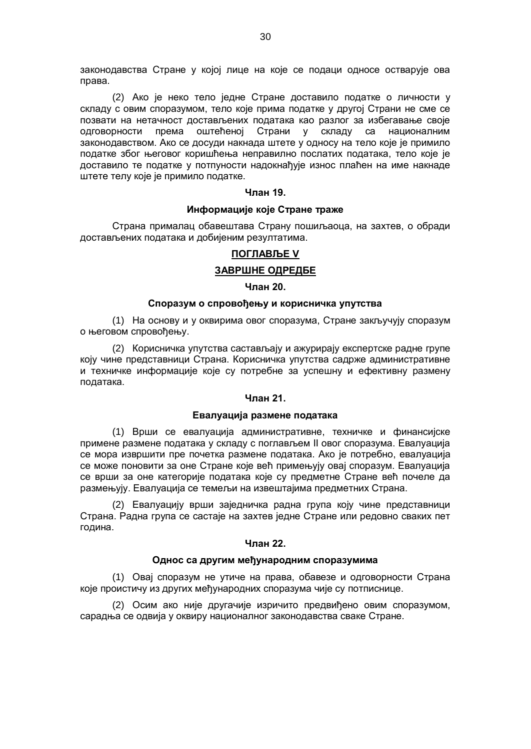законодавства Стране у којој лице на које се подаци односе остварује ова права.

(2) Ако је неко тело једне Стране доставило податке о личности у складу с овим споразумом, тело које прима податке у другој Страни не сме се позвати на нетачност достављених података као разлог за избегавање своје одговорности према оштећеној Страни у складу са националним законодавством. Ако се досуди накнада штете у односу на тело које је примило податке због његовог коришћења неправилно послатих података, тело које је доставило те податке у потпуности надокнађује износ плаћен на име накнаде штете телу које је примило податке.

#### **Члан 19.**

# **Информације које Стране траже**

Страна прималац обавештава Страну пошиљаоца, на захтев, о обради достављених података и добијеним резултатима.

## **ПОГЛАВЉЕ V**

## **ЗАВРШНЕ ОДРЕДБЕ**

#### **Члан 20.**

#### **Споразум о спровођењу и корисничка упутства**

(1) На основу и у оквирима овог споразума, Стране закључују споразум о његовом спровођењу.

(2) Корисничка упутства састављају и ажурирају експертске радне групе коју чине представници Страна. Корисничка упутства садрже административне и техничке информације које су потребне за успешну и ефективну размену података.

# **Члан 21.**

## **Евалуација размене података**

(1) Врши се евалуација административне, техничке и финансијске примене размене података у складу с поглављем II овог споразума. Евалуација се мора извршити пре почетка размене података. Ако је потребно, евалуација се може поновити за оне Стране које већ примењују овај споразум. Евалуација се врши за оне категорије података које су предметне Стране већ почеле да размењују. Евалуација се темељи на извештајима предметних Страна.

(2) Евалуацију врши заједничка радна група коју чине представници Страна. Радна група се састаје на захтев једне Стране или редовно сваких пет година.

## **Члан 22.**

#### **Однос са другим међународним споразумима**

(1) Овај споразум не утиче на права, обавезе и одговорности Страна које проистичу из других међународних споразума чије су потписнице.

(2) Осим ако није другачије изричито предвиђено овим споразумом, сарадња се одвија у оквиру националног законодавства сваке Стране.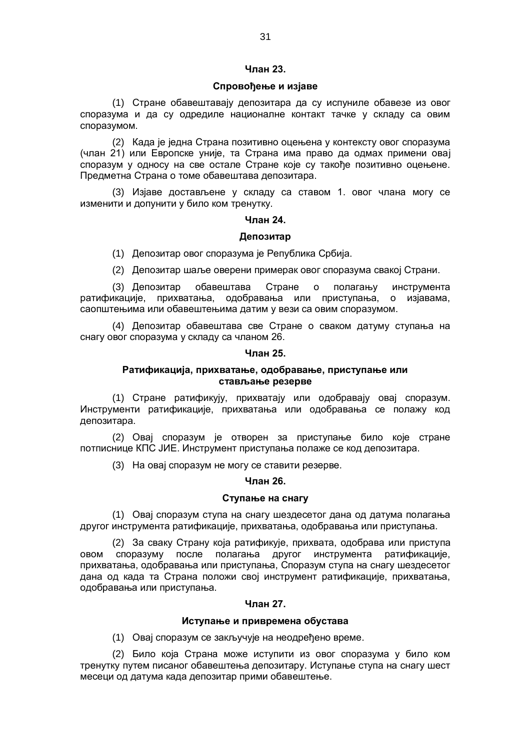# **Члан 23.**

## **Спровођење и изјаве**

(1) Стране обавештавају депозитара да су испуниле обавезе из овог споразума и да су одредиле националне контакт тачке у складу са овим споразумом.

(2) Када је једна Страна позитивно оцењена у контексту овог споразума (члан 21) или Европске уније, та Страна има право да одмах примени овај споразум у односу на све остале Стране које су такође позитивно оцењене. Предметна Страна o томе обавештава депозитара.

(3) Изјаве достављене у складу са ставом 1. овог члана могу се изменити и допунити у било ком тренутку.

#### **Члан 24.**

#### **Депозитар**

(1) Депозитар овог споразума је Република Србија.

(2) Депозитар шаље оверени примерак овог споразума свакој Страни.

(3) Депозитар обавештава Стране о полагању инструмента ратификације, прихватања, одобравања или приступања, о изјавама, саопштењима или обавештењима датим у вези са овим споразумом.

(4) Депозитар обавештава све Стране о сваком датуму ступања на снагу овог споразума у складу са чланом 26.

#### **Члан 25.**

# **Ратификација, прихватање, одобравање, приступање или стављање резерве**

(1) Стране ратификују, прихватају или одобравају овај споразум. Инструменти ратификације, прихватања или одобравања се полажу код депозитара.

(2) Овај споразум је отворен за приступање било које стране потписнице КПС ЈИЕ. Инструмент приступања полаже се код депозитара.

(3) На овај споразум не могу се ставити резерве.

#### **Члан 26.**

#### **Ступање на снагу**

(1) Овај споразум ступа на снагу шездесетог дана од датума полагања другог инструмента ратификације, прихватања, одобравања или приступања.

(2) За сваку Страну која ратификује, прихвата, одобрава или приступа овом споразуму после полагања другог инструмента ратификације, прихватања, одобравања или приступања, Споразум ступа на снагу шездесетог дана од када та Страна положи свој инструмент ратификације, прихватања, одобравања или приступања.

#### **Члан 27.**

#### **Иступање и привремена обустава**

(1) Овај споразум се закључује на неодређено време.

(2) Било која Страна може иступити из овог споразума у било ком тренутку путем писаног обавештења депозитару. Иступање ступа на снагу шест месеци од датума када депозитар прими обавештење.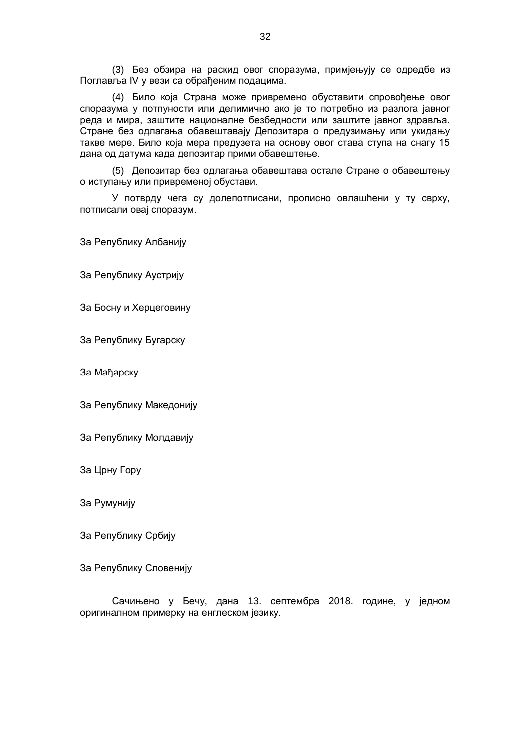(3) Без обзира на раскид овог споразума, примјењују се одредбе из Поглавља IV у вези са обрађеним подацима.

(4) Било која Страна може привремено обуставити спровођење овог споразума у потпуности или делимично ако је то потребно из разлога јавног реда и мира, заштите националне безбедности или заштите јавног здравља. Стране без одлагања обавештавају Депозитара о предузимању или укидању такве мере. Било која мера предузета на основу овог става ступа на снагу 15 дана од датума када депозитар прими обавештење.

(5) Депозитар без одлагања обавештава остале Стране о обавештењу о иступању или привременој обустави.

У потврду чега су долепотписани, прописно овлашћени у ту сврху, потписали овај споразум.

За Републику Албанију

За Републику Аустрију

За Босну и Херцеговину

За Републику Бугарску

За Мађарску

За Републику Македонију

За Републику Молдавију

За Црну Гору

За Румунију

За Републику Србију

За Републику Словенију

Сачињено у Бечу, дана 13. септембра 2018. године, у једном оригиналном примерку на енглеском језику.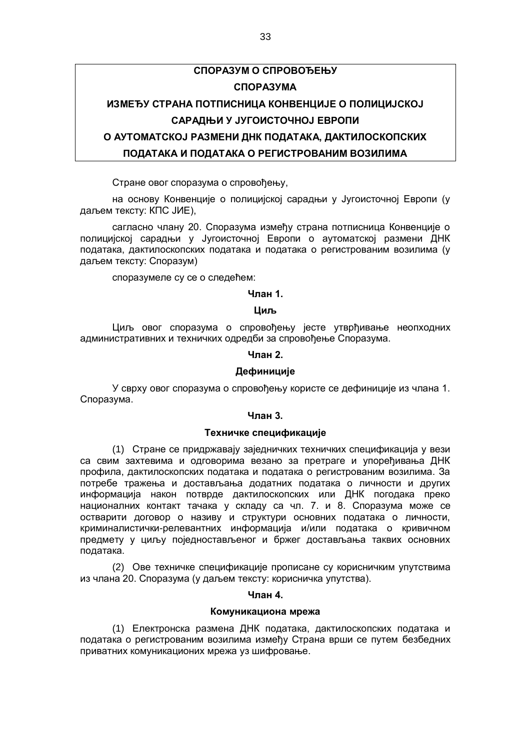# **СПОРАЗУМ О СПРОВОЂЕЊУ СПОРАЗУМА ИЗМЕЂУ СТРАНА ПОТПИСНИЦА КОНВЕНЦИЈЕ О ПОЛИЦИЈСКОЈ САРАДЊИ У ЈУГОИСТОЧНОЈ ЕВРОПИ О АУТОМАТСКОЈ РАЗМЕНИ ДНК ПОДАТАКА, ДАКТИЛОСКОПСКИХ ПОДАТАКА И ПОДАТАКА О РЕГИСТРОВАНИМ ВОЗИЛИМА**

Стране овог споразума о спровођењу,

на основу Конвенције о полицијској сарадњи у Југоисточној Европи (у даљем тексту: КПС ЈИЕ),

сагласно члану 20. Споразума између страна потписница Конвенције о полицијској сарадњи у Југоисточној Европи о аутоматској размени ДНК података, дактилоскопских података и података о регистрованим возилима (у даљем тексту: Споразум)

споразумеле су се о следећем:

#### **Члан 1.**

# **Циљ**

Циљ овог споразума о спровођењу јесте утврђивање неопходних административних и техничких одредби за спровођење Споразума.

#### **Члан 2.**

#### **Дефиниције**

У сврху овог споразума о спровођењу користе се дефиниције из члана 1. Споразума.

#### **Члан 3.**

#### **Техничке спецификације**

(1) Стране се придржавају заједничких техничких спецификација у вези са свим захтевима и одговорима везано за претраге и упоређивања ДНК профила, дактилоскопских података и података о регистрованим возилима. За потребе тражења и достављања додатних података о личности и других информација након потврде дактилоскопских или ДНК погодака преко националних контакт тачака у складу са чл. 7. и 8. Споразума може се остварити договор о називу и структури основних података о личности, криминалистички-релевантних информација и/или података о кривичном предмету у циљу поједностављеног и бржег достављања таквих основних података.

(2) Ове техничке спецификације прописане су корисничким упутствима из члана 20. Споразума (у даљем тексту: корисничка упутства).

# **Члан 4.**

#### **Комуникациона мрежа**

(1) Електронска размена ДНК података, дактилоскопских података и података о регистрованим возилима између Страна врши се путем безбедних приватних комуникационих мрежа уз шифровање.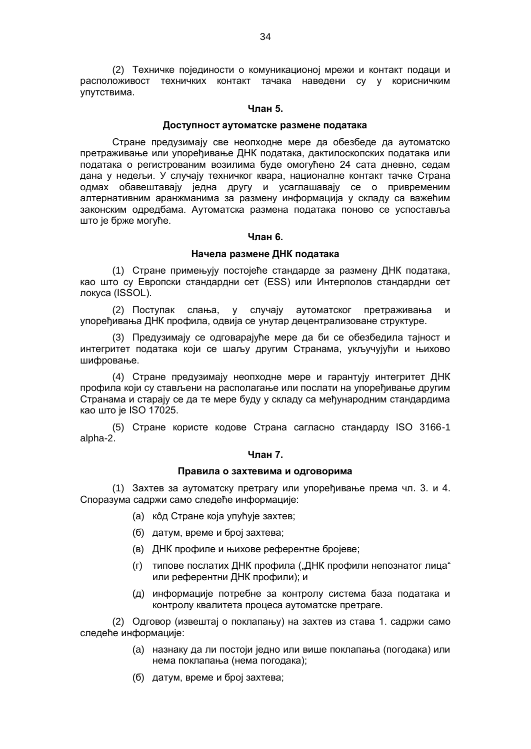(2) Техничке појединости о комуникационој мрежи и контакт подаци и расположивост техничких контакт тачака наведени су у корисничким упутствима.

#### **Члан 5.**

#### **Доступност аутоматске размене података**

Стране предузимају све неопходне мере да обезбеде да аутоматско претраживање или упоређивање ДНК података, дактилоскопских података или података о регистрованим возилима буде омогућено 24 сата дневно, седам дана у недељи. У случају техничког квара, националне контакт тачке Страна одмах обавештавају једна другу и усаглашавају се о привременим алтернативним аранжманима за размену информација у складу са важећим законским одредбама. Аутоматска размена података поново се успоставља што је брже могуће.

#### **Члан 6.**

#### **Начела размене ДНК података**

(1) Стране примењују постојеће стандарде за размену ДНК података, као што су Европски стандардни сет (ЕЅЅ) или Интерполов стандардни сет локуса (ISSOL).

(2) Поступак слања, у случају аутоматског претраживања и упоређивања ДНК профила, одвија се унутар децентрализоване структуре.

(3) Предузимају се одговарајуће мере да би се обезбедила тајност и интегритет података који се шаљу другим Странама, укључујући и њихово шифровање.

(4) Стране предузимају неопходне мере и гарантују интегритет ДНК профила који су стављени на располагање или послати на упоређивање другим Странама и старају се да те мере буду у складу са међународним стандардима као што је ISO 17025.

(5) Стране користе кодове Страна сагласно стандарду ISO 3166-1 alpha-2.

#### **Члан 7.**

#### **Правила о захтевима и одговорима**

(1) Захтев за аутоматску претрагу или упоређивање према чл. 3. и 4. Споразума садржи само следеће информације:

- (a) кôд Стране која упућује захтев;
- (б) датум, време и број захтева;
- (в) ДНК профиле и њихове референтне бројеве;
- (г) типове послатих ДНК профила ("ДНК профили непознатог лица" или референтни ДНК профили); и
- (д) информације потребне за контролу система база података и контролу квалитета процеса аутоматске претраге.

(2) Одговор (извештај о поклапању) на захтев из става 1. садржи само следеће информације:

- (a) назнаку да ли постоји једно или више поклапања (погодака) или нема поклапања (нема погодака);
- (б) датум, време и број захтева;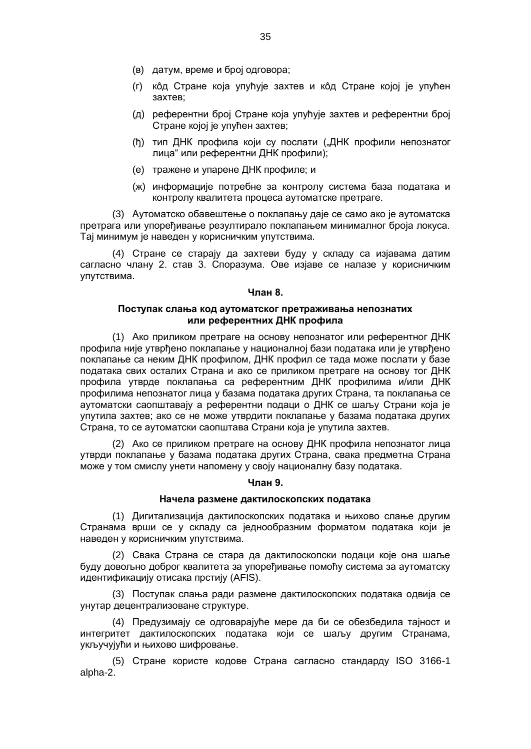- (в) датум, време и број одговора;
- (г) кôд Стране која упућује захтев и кôд Стране којој је упућен захтев;
- (д) референтни број Стране која упућује захтев и референтни број Стране којој је упућен захтев;
- (ђ) тип ДНК профила који су послати ("ДНК профили непознатог лица" или референтни ДНК профили);
- (е) тражене и упарене ДНК профиле; и
- (ж) информације потребне за контролу система база података и контролу квалитета процеса аутоматске претраге.

(3) Аутоматско обавештење о поклапању даје се само ако је аутоматска претрага или упоређивање резултирало поклапањем минималног броја локуса. Тај минимум је наведен у корисничким упутствима.

(4) Стране се старају да захтеви буду у складу са изјавама датим сагласно члану 2. став 3. Споразума. Ове изјаве се налазе у корисничким упутствима.

#### **Члан 8.**

## **Поступак слања код аутоматског претраживања непознатих или референтних ДНК профила**

(1) Ако приликом претраге на основу непознатог или референтног ДНК профила није утврђено поклапање у националној бази података или је утврђено поклапање са неким ДНК профилом, ДНК профил се тада може послати у базе података свих осталих Страна и ако се приликом претраге на основу тог ДНК профила утврде поклапања са референтним ДНК профилима и/или ДНК профилима непознатог лица у базама података других Страна, та поклапања се аутоматски саопштавају а референтни подаци о ДНК се шаљу Страни која је упутила захтев; ако се не може утврдити поклапање у базама података других Страна, то се аутоматски саопштава Страни која је упутила захтев.

(2) Ако се приликом претраге на основу ДНК профила непознатог лица утврди поклапање у базама података других Страна, свака предметна Страна може у том смислу унети напомену у своју националну базу података.

#### **Члан 9.**

#### **Начела размене дактилоскопских података**

(1) Дигитализација дактилоскопских података и њихово слање другим Странама врши се у складу са једнообразним форматом података који је наведен у корисничким упутствима.

(2) Свака Страна се стара да дактилоскопски подаци које она шаље буду довољно доброг квалитета за упоређивање помоћу система за аутоматску идентификацију отисака прстију (AFIS).

(3) Поступак слања ради размене дактилоскопских података одвија се унутар децентрализоване структуре.

(4) Предузимају се одговарајуће мере да би се обезбедила тајност и интегритет дактилоскопских података који се шаљу другим Странама, укључујући и њихово шифровање.

(5) Стране користе кодове Страна сагласно стандарду ISO 3166-1 alpha-2.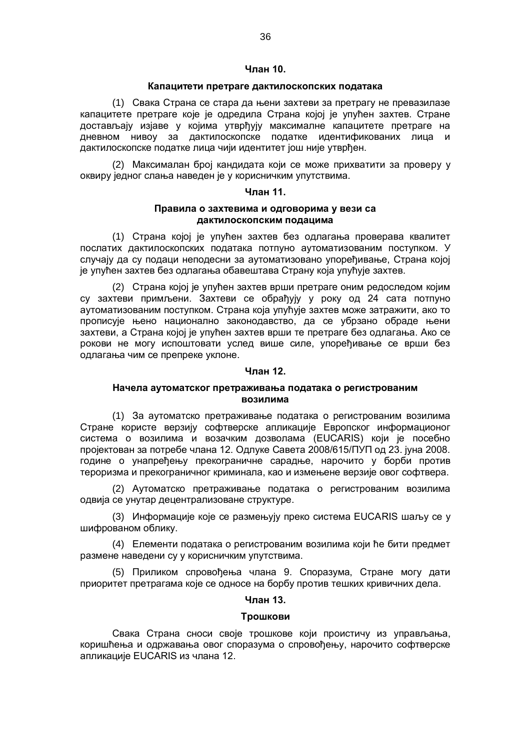# **Члан 10.**

#### **Капацитети претраге дактилоскопских података**

(1) Свака Страна се стара да њени захтеви за претрагу не превазилазе капацитете претраге које је одредила Страна којој је упућен захтев. Стране достављају изјаве у којима утврђују максималне капацитете претраге на дневном нивоу за дактилоскопске податке идентификованих лица и дактилоскопске податке лица чији идентитет још није утврђен.

(2) Максималан број кандидата који се може прихватити за проверу у оквиру једног слања наведен је у корисничким упутствима.

#### **Члан 11.**

## **Правила о захтевима и одговорима у вези са дактилоскопским подацима**

(1) Страна којој је упућен захтев без одлагања проверава квалитет послатих дактилоскопских података потпуно аутоматизованим поступком. У случају да су подаци неподесни за аутоматизовано упоређивање, Страна којој је упућен захтев без одлагања обавештава Страну која упућује захтев.

(2) Страна којој је упућен захтев врши претраге оним редоследом којим су захтеви примљени. Захтеви се обрађују у року од 24 сата потпуно аутоматизованим поступком. Страна која упућује захтев може затражити, ако то прописује њено национално законодавство, да се убрзано обраде њени захтеви, а Страна којој је упућен захтев врши те претраге без одлагања. Ако се рокови не могу испоштовати услед више силе, упоређивање се врши без одлагања чим се препреке уклоне.

#### **Члан 12.**

# **Начела аутоматског претраживања података о регистрованим возилима**

(1) За аутоматско претраживање података о регистрованим возилима Стране користе верзију софтверске апликације Европског информационог система о возилима и возачким дозволама (EUCARIS) који је посебно пројектован за потребе члана 12. Одлуке Савета 2008/615/ПУП од 23. јуна 2008. године о унапређењу прекограничне сарадње, нарочито у борби против тероризма и прекограничног криминала, као и измењене верзије овог софтвера.

(2) Аутоматско претраживање података о регистрованим возилима одвија се унутар децентрализоване структуре.

(3) Информације које се размењују преко система EUCARIS шаљу се у шифрованом облику.

(4) Елементи података о регистрованим возилима који ће бити предмет размене наведени су у корисничким упутствима.

(5) Приликом спровођења члана 9. Споразума, Стране могу дати приоритет претрагама које се односе на борбу против тешких кривичних дела.

# **Члан 13.**

#### **Трошкови**

Свака Страна сноси своје трошкове који проистичу из управљања, коришћења и одржавања овог споразума о спровођењу, нарочито софтверске апликације EUCARIS из члана 12.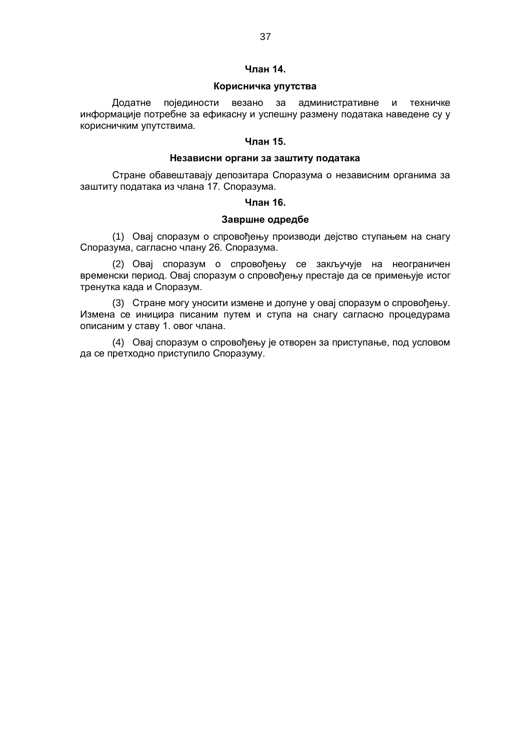# **Члан 14.**

## **Корисничка упутства**

Додатне појединости везано за административне и техничке информације потребне за ефикасну и успешну размену података наведене су у корисничким упутствима.

# **Члан 15.**

# **Независни органи за заштиту података**

Стране обавештавају депозитара Споразума о независним органима за заштиту података из члана 17. Споразума.

#### **Члан 16.**

## **Завршне одредбе**

(1) Овај споразум о спровођењу производи дејство ступањем на снагу Споразума, сагласно члану 26. Споразума.

(2) Овај споразум о спровођењу се закључује на неограничен временски период. Овај споразум о спровођењу престаје да се примењује истог тренутка када и Споразум.

(3) Стране могу уносити измене и допуне у овај споразум о спровођењу. Измена се иницира писаним путем и ступа на снагу сагласно процедурама описаним у ставу 1. овог члана.

(4) Овај споразум о спровођењу је отворен за приступање, под условом да се претходно приступило Споразуму.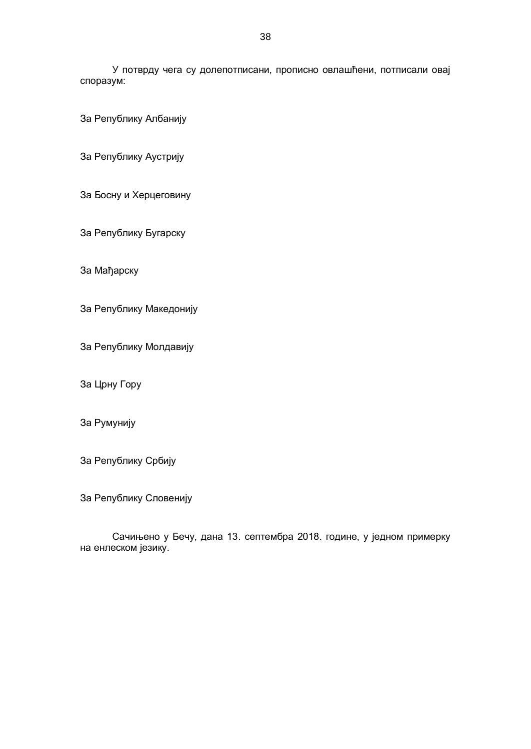У потврду чега су долепотписани, прописно овлашћени, потписали овај споразум:

За Републику Албанију

За Републику Аустрију

За Босну и Херцеговину

За Републику Бугарску

За Мађарску

За Републику Македонију

За Републику Молдавију

За Црну Гору

За Румунију

За Републику Србију

За Републику Словенију

Сачињено у Бечу, дана 13. септембра 2018. године, у једном примерку на енлеском језику.